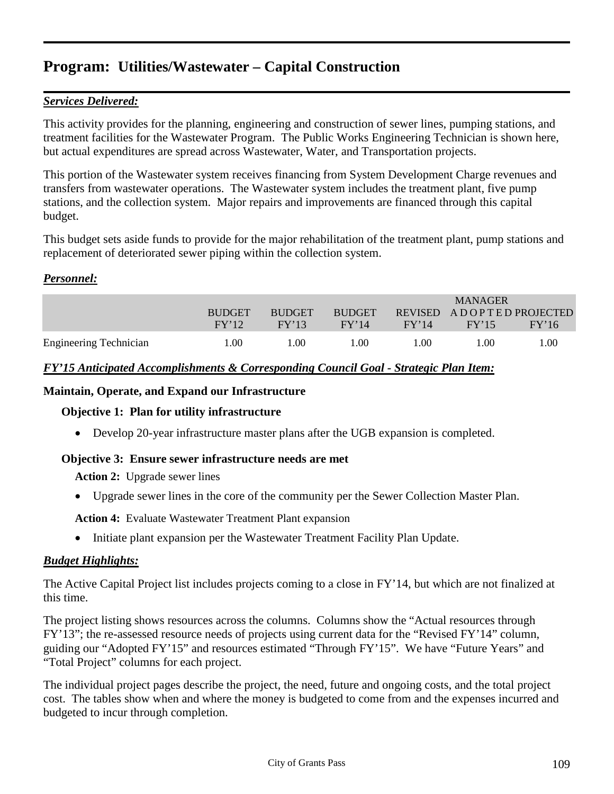# *Services Delivered:*

This activity provides for the planning, engineering and construction of sewer lines, pumping stations, and treatment facilities for the Wastewater Program. The Public Works Engineering Technician is shown here, but actual expenditures are spread across Wastewater, Water, and Transportation projects.

This portion of the Wastewater system receives financing from System Development Charge revenues and transfers from wastewater operations. The Wastewater system includes the treatment plant, five pump stations, and the collection system. Major repairs and improvements are financed through this capital budget.

This budget sets aside funds to provide for the major rehabilitation of the treatment plant, pump stations and replacement of deteriorated sewer piping within the collection system.

# *Personnel:*

|                               |               |               |               |       | <b>MANAGER</b>            |       |
|-------------------------------|---------------|---------------|---------------|-------|---------------------------|-------|
|                               | <b>BUDGET</b> | <b>BUDGET</b> | <b>BUDGET</b> |       | REVISED ADOPTED PROJECTED |       |
|                               | FY'12         | FY'13         | FY'14         | FY'14 | FY'15                     | FY'16 |
| <b>Engineering Technician</b> | 1.00          | 00.1          | LOO.          | 00.1  | L.OO                      | 1.00  |

# *FY'15 Anticipated Accomplishments & Corresponding Council Goal - Strategic Plan Item:*

### **Maintain, Operate, and Expand our Infrastructure**

# **Objective 1: Plan for utility infrastructure**

• Develop 20-year infrastructure master plans after the UGB expansion is completed.

# **Objective 3: Ensure sewer infrastructure needs are met**

**Action 2:** Upgrade sewer lines

• Upgrade sewer lines in the core of the community per the Sewer Collection Master Plan.

**Action 4:** Evaluate Wastewater Treatment Plant expansion

• Initiate plant expansion per the Wastewater Treatment Facility Plan Update.

# *Budget Highlights:*

The Active Capital Project list includes projects coming to a close in FY'14, but which are not finalized at this time.

The project listing shows resources across the columns. Columns show the "Actual resources through FY'13"; the re-assessed resource needs of projects using current data for the "Revised FY'14" column, guiding our "Adopted FY'15" and resources estimated "Through FY'15". We have "Future Years" and "Total Project" columns for each project.

The individual project pages describe the project, the need, future and ongoing costs, and the total project cost. The tables show when and where the money is budgeted to come from and the expenses incurred and budgeted to incur through completion.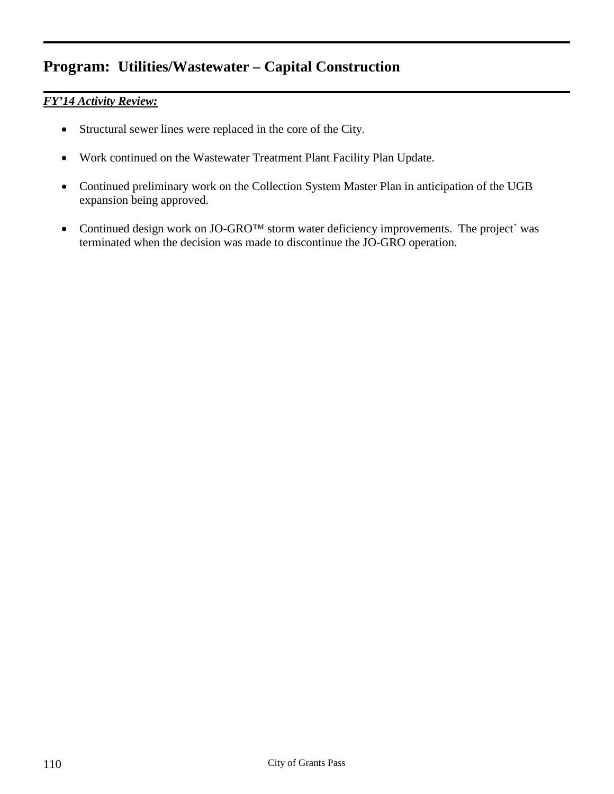# *FY'14 Activity Review:*

- Structural sewer lines were replaced in the core of the City.
- Work continued on the Wastewater Treatment Plant Facility Plan Update.
- Continued preliminary work on the Collection System Master Plan in anticipation of the UGB expansion being approved.
- Continued design work on JO-GRO<sup>TM</sup> storm water deficiency improvements. The project` was terminated when the decision was made to discontinue the JO-GRO operation.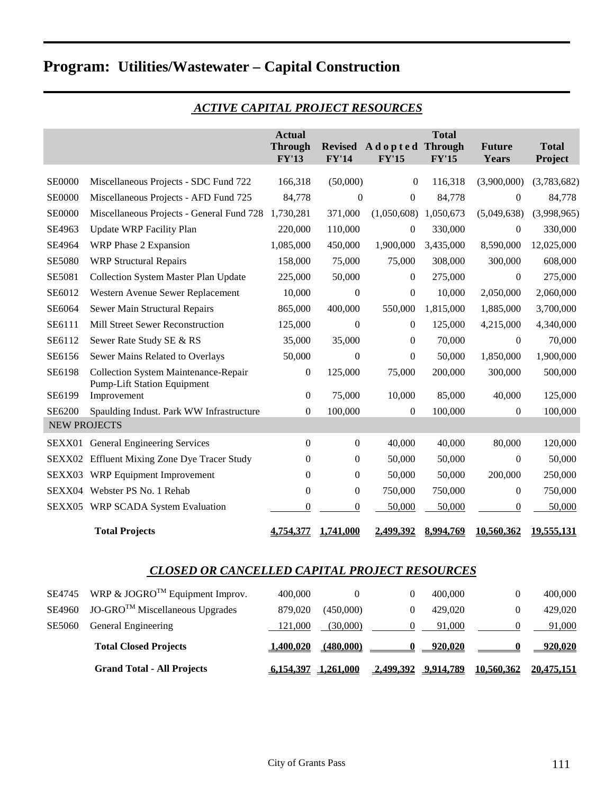|                     |                                                                                                                        | <b>Actual</b><br><b>Through</b><br>FY'13 | <b>FY'14</b>     | Revised A dopted Through<br>FY'15 | <b>Total</b><br>FY'15 | <b>Future</b><br>Years | <b>Total</b><br>Project |
|---------------------|------------------------------------------------------------------------------------------------------------------------|------------------------------------------|------------------|-----------------------------------|-----------------------|------------------------|-------------------------|
| <b>SE0000</b>       | Miscellaneous Projects - SDC Fund 722                                                                                  | 166,318                                  | (50,000)         | $\boldsymbol{0}$                  | 116,318               | (3,900,000)            | (3,783,682)             |
| <b>SE0000</b>       | Miscellaneous Projects - AFD Fund 725                                                                                  | 84,778                                   | $\theta$         | $\mathbf{0}$                      | 84,778                | $\boldsymbol{0}$       | 84,778                  |
| <b>SE0000</b>       | Miscellaneous Projects - General Fund 728                                                                              | 1,730,281                                | 371,000          | (1,050,608)                       | 1,050,673             | (5,049,638)            | (3,998,965)             |
| SE4963              | Update WRP Facility Plan                                                                                               | 220,000                                  | 110,000          | $\boldsymbol{0}$                  | 330,000               | $\boldsymbol{0}$       | 330,000                 |
| SE4964              | WRP Phase 2 Expansion                                                                                                  | 1,085,000                                | 450,000          | 1,900,000                         | 3,435,000             | 8,590,000              | 12,025,000              |
| <b>SE5080</b>       | <b>WRP Structural Repairs</b>                                                                                          | 158,000                                  | 75,000           | 75,000                            | 308,000               | 300,000                | 608,000                 |
| <b>SE5081</b>       | Collection System Master Plan Update                                                                                   | 225,000                                  | 50,000           | $\overline{0}$                    | 275,000               | 0                      | 275,000                 |
| SE6012              | Western Avenue Sewer Replacement                                                                                       | 10,000                                   | $\boldsymbol{0}$ | $\boldsymbol{0}$                  | 10,000                | 2,050,000              | 2,060,000               |
| SE6064              | Sewer Main Structural Repairs                                                                                          | 865,000                                  | 400,000          | 550,000                           | 1,815,000             | 1,885,000              | 3,700,000               |
| SE6111              | Mill Street Sewer Reconstruction                                                                                       | 125,000                                  | $\overline{0}$   | $\overline{0}$                    | 125,000               | 4,215,000              | 4,340,000               |
| SE6112              | Sewer Rate Study SE & RS                                                                                               | 35,000                                   | 35,000           | $\mathbf{0}$                      | 70,000                | 0                      | 70,000                  |
| SE6156              | Sewer Mains Related to Overlays                                                                                        | 50,000                                   | $\overline{0}$   | $\boldsymbol{0}$                  | 50,000                | 1,850,000              | 1,900,000               |
| SE6198              | <b>Collection System Maintenance-Repair</b><br><b>Pump-Lift Station Equipment</b>                                      | 0                                        | 125,000          | 75,000                            | 200,000               | 300,000                | 500,000                 |
| SE6199              | Improvement                                                                                                            | 0                                        | 75,000           | 10,000                            | 85,000                | 40,000                 | 125,000                 |
| SE6200              | Spaulding Indust. Park WW Infrastructure                                                                               | 0                                        | 100,000          | $\boldsymbol{0}$                  | 100,000               | 0                      | 100,000                 |
| <b>NEW PROJECTS</b> |                                                                                                                        |                                          |                  |                                   |                       |                        |                         |
|                     | SEXX01 General Engineering Services                                                                                    | $\theta$                                 | $\Omega$         | 40,000                            | 40,000                | 80,000                 | 120,000                 |
|                     | SEXX02 Effluent Mixing Zone Dye Tracer Study                                                                           | 0                                        | $\theta$         | 50,000                            | 50,000                | $\boldsymbol{0}$       | 50,000                  |
| SEXX03              | WRP Equipment Improvement                                                                                              | $\boldsymbol{0}$                         | $\boldsymbol{0}$ | 50,000                            | 50,000                | 200,000                | 250,000                 |
|                     | SEXX04 Webster PS No. 1 Rehab                                                                                          | $\theta$                                 | $\boldsymbol{0}$ | 750,000                           | 750,000               | 0                      | 750,000                 |
|                     | SEXX05 WRP SCADA System Evaluation                                                                                     | $\theta$                                 | $\boldsymbol{0}$ | 50,000                            | 50,000                | 0                      | 50,000                  |
|                     | <b>Total Projects</b>                                                                                                  | 4.754.377                                | 1.741.000        | 2.499.392                         | 8.994.769             | 10.560.362             | 19,555,131              |
|                     | <b>CLOSED OR CANCELLED CAPITAL PROJECT RESOURCES</b>                                                                   |                                          |                  |                                   |                       |                        |                         |
| CDA745              | $\mathbf{W}$ D $\mathbf{0}$ $\mathbf{1}$ OCD O <sup>TM</sup> $\mathbf{E}_{\text{min}}$ is an $\mathbf{L}_{\text{max}}$ | 100.000                                  | $\Omega$         | $\Omega$                          | 100.000               |                        | 100.000                 |

# *ACTIVE CAPITAL PROJECT RESOURCES*

|               | <b>Grand Total - All Projects</b>                  | 6.154.397 | 1.261.000 | 2.499.392 9.914.789 | 10.560.362 | 20.475.151 |
|---------------|----------------------------------------------------|-----------|-----------|---------------------|------------|------------|
|               | <b>Total Closed Projects</b>                       | 1.400.020 | (480.000) | 920.020             |            | 920.020    |
| <b>SE5060</b> | General Engineering                                | 121,000   | (30,000)  | 91,000              |            | 91,000     |
| SE4960        | $JO-GROTM$ Miscellaneous Upgrades                  | 879.020   | (450,000) | 429,020             | 0          | 429,020    |
|               | SE4745 WRP & JOGRO <sup>TM</sup> Equipment Improv. | 400,000   |           | 400,000             | $\theta$   | 400,000    |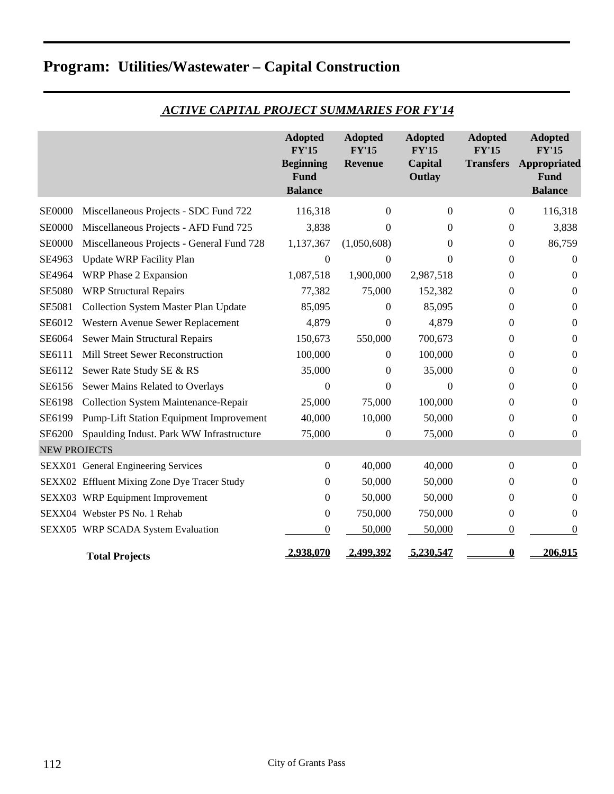|                     |                                                | <b>Adopted</b><br><b>FY'15</b><br><b>Beginning</b><br>Fund<br><b>Balance</b> | <b>Adopted</b><br><b>FY'15</b><br>Revenue | <b>Adopted</b><br><b>FY'15</b><br>Capital<br>Outlay | <b>Adopted</b><br><b>FY'15</b><br><b>Transfers</b> | <b>Adopted</b><br><b>FY'15</b><br>Appropriated<br><b>Fund</b><br><b>Balance</b> |
|---------------------|------------------------------------------------|------------------------------------------------------------------------------|-------------------------------------------|-----------------------------------------------------|----------------------------------------------------|---------------------------------------------------------------------------------|
| <b>SE0000</b>       | Miscellaneous Projects - SDC Fund 722          | 116,318                                                                      | 0                                         | $\Omega$                                            | $\mathbf{0}$                                       | 116,318                                                                         |
| <b>SE0000</b>       | Miscellaneous Projects - AFD Fund 725          | 3,838                                                                        | 0                                         | 0                                                   | 0                                                  | 3,838                                                                           |
| <b>SE0000</b>       | Miscellaneous Projects - General Fund 728      | 1,137,367                                                                    | (1,050,608)                               | 0                                                   | $\theta$                                           | 86,759                                                                          |
| SE4963              | <b>Update WRP Facility Plan</b>                | $\Omega$                                                                     | 0                                         | $\Omega$                                            | $\Omega$                                           | $\Omega$                                                                        |
| SE4964              | WRP Phase 2 Expansion                          | 1,087,518                                                                    | 1,900,000                                 | 2,987,518                                           | 0                                                  | $\boldsymbol{0}$                                                                |
| <b>SE5080</b>       | <b>WRP Structural Repairs</b>                  | 77,382                                                                       | 75,000                                    | 152,382                                             | 0                                                  | $\boldsymbol{0}$                                                                |
| SE5081              | <b>Collection System Master Plan Update</b>    | 85,095                                                                       | 0                                         | 85,095                                              | 0                                                  | $\Omega$                                                                        |
| SE6012              | Western Avenue Sewer Replacement               | 4,879                                                                        | $\boldsymbol{0}$                          | 4,879                                               | 0                                                  | $\boldsymbol{0}$                                                                |
| SE6064              | Sewer Main Structural Repairs                  | 150,673                                                                      | 550,000                                   | 700,673                                             | 0                                                  | $\mathbf{0}$                                                                    |
| SE6111              | Mill Street Sewer Reconstruction               | 100,000                                                                      | 0                                         | 100,000                                             | 0                                                  | $\mathbf{0}$                                                                    |
| SE6112              | Sewer Rate Study SE & RS                       | 35,000                                                                       | 0                                         | 35,000                                              | 0                                                  | $\mathbf{0}$                                                                    |
| SE6156              | Sewer Mains Related to Overlays                | $\Omega$                                                                     | $\theta$                                  | $\Omega$                                            | $\Omega$                                           | $\mathbf{0}$                                                                    |
| SE6198              | <b>Collection System Maintenance-Repair</b>    | 25,000                                                                       | 75,000                                    | 100,000                                             | 0                                                  | $\boldsymbol{0}$                                                                |
| SE6199              | <b>Pump-Lift Station Equipment Improvement</b> | 40,000                                                                       | 10,000                                    | 50,000                                              | 0                                                  | $\Omega$                                                                        |
| SE6200              | Spaulding Indust. Park WW Infrastructure       | 75,000                                                                       | $\boldsymbol{0}$                          | 75,000                                              | 0                                                  | $\mathbf{0}$                                                                    |
| <b>NEW PROJECTS</b> |                                                |                                                                              |                                           |                                                     |                                                    |                                                                                 |
|                     | SEXX01 General Engineering Services            | $\boldsymbol{0}$                                                             | 40,000                                    | 40,000                                              | $\theta$                                           | $\theta$                                                                        |
|                     | SEXX02 Effluent Mixing Zone Dye Tracer Study   | 0                                                                            | 50,000                                    | 50,000                                              | 0                                                  | $\mathbf{0}$                                                                    |
|                     | SEXX03 WRP Equipment Improvement               | 0                                                                            | 50,000                                    | 50,000                                              | 0                                                  | $\boldsymbol{0}$                                                                |
|                     | SEXX04 Webster PS No. 1 Rehab                  | $\boldsymbol{0}$                                                             | 750,000                                   | 750,000                                             | 0                                                  | $\mathbf{0}$                                                                    |
|                     | SEXX05 WRP SCADA System Evaluation             | $\boldsymbol{0}$                                                             | 50,000                                    | 50,000                                              | 0                                                  | $\mathbf{0}$                                                                    |
|                     | <b>Total Projects</b>                          | 2,938,070                                                                    | 2,499,392                                 | 5,230,547                                           | $\bf{0}$                                           | 206,915                                                                         |

# *ACTIVE CAPITAL PROJECT SUMMARIES FOR FY'14*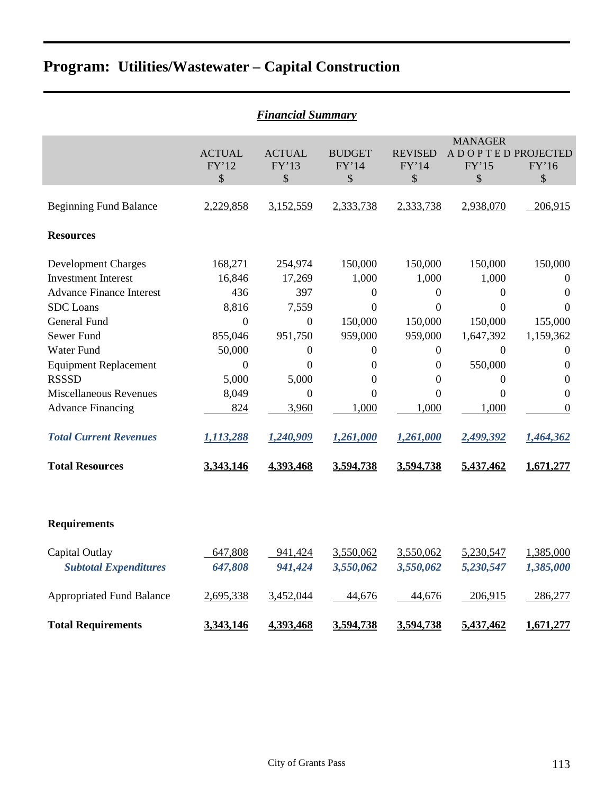| <b>Financial Summary</b>                                                                                                                                                                                                                                                                                                |                                                                                                                                      |                                                                                                                                                             |                                                                                                                                                                      |                                                                                                                         |                                                                                                                      |                                                                                                                                                                                                          |  |  |  |  |  |
|-------------------------------------------------------------------------------------------------------------------------------------------------------------------------------------------------------------------------------------------------------------------------------------------------------------------------|--------------------------------------------------------------------------------------------------------------------------------------|-------------------------------------------------------------------------------------------------------------------------------------------------------------|----------------------------------------------------------------------------------------------------------------------------------------------------------------------|-------------------------------------------------------------------------------------------------------------------------|----------------------------------------------------------------------------------------------------------------------|----------------------------------------------------------------------------------------------------------------------------------------------------------------------------------------------------------|--|--|--|--|--|
|                                                                                                                                                                                                                                                                                                                         | <b>ACTUAL</b><br>FY'12<br>\$                                                                                                         | <b>ACTUAL</b><br>FY'13<br>\$                                                                                                                                | <b>BUDGET</b><br>FY'14<br>\$                                                                                                                                         | <b>REVISED</b><br>FY'14<br>\$                                                                                           | <b>MANAGER</b><br>A D O P T E D PROJECTED<br>FY'15<br>\$                                                             | FY'16<br>\$                                                                                                                                                                                              |  |  |  |  |  |
| <b>Beginning Fund Balance</b>                                                                                                                                                                                                                                                                                           | 2,229,858                                                                                                                            | 3,152,559                                                                                                                                                   | 2,333,738                                                                                                                                                            | 2,333,738                                                                                                               | 2,938,070                                                                                                            | 206,915                                                                                                                                                                                                  |  |  |  |  |  |
| <b>Resources</b>                                                                                                                                                                                                                                                                                                        |                                                                                                                                      |                                                                                                                                                             |                                                                                                                                                                      |                                                                                                                         |                                                                                                                      |                                                                                                                                                                                                          |  |  |  |  |  |
| <b>Development Charges</b><br><b>Investment Interest</b><br><b>Advance Finance Interest</b><br><b>SDC</b> Loans<br><b>General Fund</b><br>Sewer Fund<br><b>Water Fund</b><br><b>Equipment Replacement</b><br><b>RSSSD</b><br><b>Miscellaneous Revenues</b><br><b>Advance Financing</b><br><b>Total Current Revenues</b> | 168,271<br>16,846<br>436<br>8,816<br>$\boldsymbol{0}$<br>855,046<br>50,000<br>$\boldsymbol{0}$<br>5,000<br>8,049<br>824<br>1,113,288 | 254,974<br>17,269<br>397<br>7,559<br>$\boldsymbol{0}$<br>951,750<br>$\boldsymbol{0}$<br>$\boldsymbol{0}$<br>5,000<br>$\boldsymbol{0}$<br>3,960<br>1,240,909 | 150,000<br>1,000<br>$\mathbf{0}$<br>$\mathbf{0}$<br>150,000<br>959,000<br>$\boldsymbol{0}$<br>$\overline{0}$<br>$\mathbf{0}$<br>$\overline{0}$<br>1,000<br>1,261,000 | 150,000<br>1,000<br>0<br>$\theta$<br>150,000<br>959,000<br>$\boldsymbol{0}$<br>0<br>0<br>$\theta$<br>1,000<br>1,261,000 | 150,000<br>1,000<br>0<br>$\theta$<br>150,000<br>1,647,392<br>$\mathbf{0}$<br>550,000<br>0<br>0<br>1,000<br>2,499,392 | 150,000<br>$\boldsymbol{0}$<br>$\boldsymbol{0}$<br>$\mathbf{0}$<br>155,000<br>1,159,362<br>$\boldsymbol{0}$<br>$\boldsymbol{0}$<br>$\boldsymbol{0}$<br>$\boldsymbol{0}$<br>$\boldsymbol{0}$<br>1,464,362 |  |  |  |  |  |
| <b>Total Resources</b>                                                                                                                                                                                                                                                                                                  | 3,343,146                                                                                                                            | 4,393,468                                                                                                                                                   | 3,594,738                                                                                                                                                            | 3,594,738                                                                                                               | 5,437,462                                                                                                            | 1,671,277                                                                                                                                                                                                |  |  |  |  |  |
| <b>Requirements</b>                                                                                                                                                                                                                                                                                                     |                                                                                                                                      |                                                                                                                                                             |                                                                                                                                                                      |                                                                                                                         |                                                                                                                      |                                                                                                                                                                                                          |  |  |  |  |  |
| Capital Outlay<br><b>Subtotal Expenditures</b>                                                                                                                                                                                                                                                                          | 647,808<br>647,808                                                                                                                   | 941,424<br>941,424                                                                                                                                          | 3,550,062<br>3,550,062                                                                                                                                               | 3,550,062<br>3,550,062                                                                                                  | 5,230,547<br>5,230,547                                                                                               | 1,385,000<br>1,385,000                                                                                                                                                                                   |  |  |  |  |  |
| <b>Appropriated Fund Balance</b>                                                                                                                                                                                                                                                                                        | 2,695,338                                                                                                                            | 3,452,044                                                                                                                                                   | 44,676                                                                                                                                                               | 44,676                                                                                                                  | 206,915                                                                                                              | 286,277                                                                                                                                                                                                  |  |  |  |  |  |
| <b>Total Requirements</b>                                                                                                                                                                                                                                                                                               | 3,343,146                                                                                                                            | 4,393,468                                                                                                                                                   | 3,594,738                                                                                                                                                            | 3,594,738                                                                                                               | 5,437,462                                                                                                            | 1,671,277                                                                                                                                                                                                |  |  |  |  |  |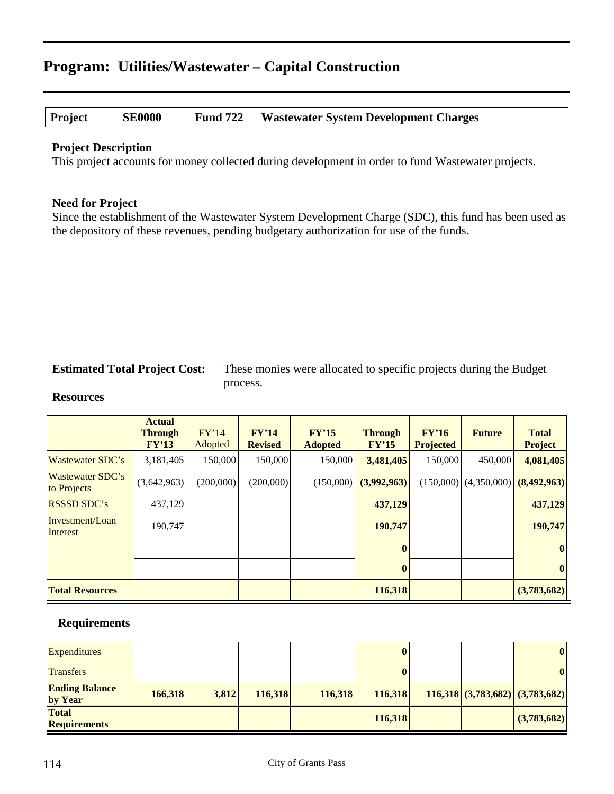### **Project SE0000 Fund 722 Wastewater System Development Charges**

#### **Project Description**

This project accounts for money collected during development in order to fund Wastewater projects.

#### **Need for Project**

Since the establishment of the Wastewater System Development Charge (SDC), this fund has been used as the depository of these revenues, pending budgetary authorization for use of the funds.

**Estimated Total Project Cost:** These monies were allocated to specific projects during the Budget process.

#### **Resources**

|                                        | <b>Actual</b><br><b>Through</b><br>FY'13 | FY'14<br>Adopted | FY'14<br><b>Revised</b> | FY'15<br><b>Adopted</b> | <b>Through</b><br>FY'15 | FY'16<br><b>Projected</b> | <b>Future</b>             | <b>Total</b><br><b>Project</b> |
|----------------------------------------|------------------------------------------|------------------|-------------------------|-------------------------|-------------------------|---------------------------|---------------------------|--------------------------------|
| <b>Wastewater SDC's</b>                | 3,181,405                                | 150,000          | 150,000                 | 150,000                 | 3,481,405               | 150,000                   | 450,000                   | 4,081,405                      |
| <b>Wastewater SDC's</b><br>to Projects | (3,642,963)                              | (200,000)        | (200,000)               | (150,000)               | (3,992,963)             |                           | $(150,000)$ $(4,350,000)$ | (8,492,963)                    |
| <b>RSSSD SDC's</b>                     | 437,129                                  |                  |                         |                         | 437,129                 |                           |                           | 437,129                        |
| Investment/Loan<br>Interest            | 190,747                                  |                  |                         |                         | 190,747                 |                           |                           | 190,747                        |
|                                        |                                          |                  |                         |                         | $\bf{0}$                |                           |                           | $\boldsymbol{0}$               |
|                                        |                                          |                  |                         |                         | $\mathbf{0}$            |                           |                           | $\boldsymbol{0}$               |
| <b>Total Resources</b>                 |                                          |                  |                         |                         | 116,318                 |                           |                           | (3,783,682)                    |

| <b>Expenditures</b>                 |         |       |         |         | 0       |  | $\bf{0}$                          |
|-------------------------------------|---------|-------|---------|---------|---------|--|-----------------------------------|
| <b>Transfers</b>                    |         |       |         |         |         |  | $\mathbf{0}$                      |
| <b>Ending Balance</b><br>by Year    | 166,318 | 3,812 | 116,318 | 116,318 | 116,318 |  | $116,318$ (3,783,682) (3,783,682) |
| <b>Total</b><br><b>Requirements</b> |         |       |         |         | 116,318 |  | (3,783,682)                       |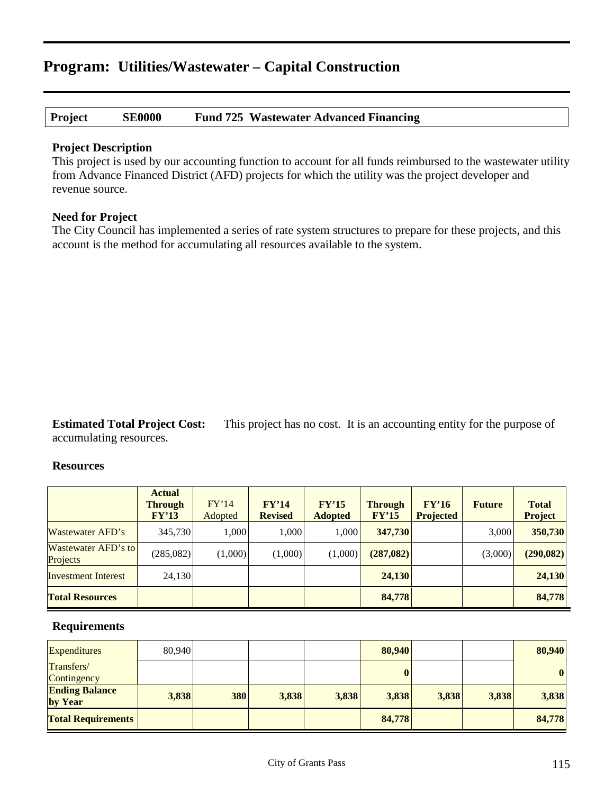### **Project SE0000 Fund 725 Wastewater Advanced Financing**

#### **Project Description**

This project is used by our accounting function to account for all funds reimbursed to the wastewater utility from Advance Financed District (AFD) projects for which the utility was the project developer and revenue source.

#### **Need for Project**

The City Council has implemented a series of rate system structures to prepare for these projects, and this account is the method for accumulating all resources available to the system.

**Estimated Total Project Cost:** This project has no cost. It is an accounting entity for the purpose of accumulating resources.

#### **Resources**

|                                        | <b>Actual</b><br><b>Through</b><br>FY'13 | FY'14<br>Adopted | FY'14<br><b>Revised</b> | FY'15<br><b>Adopted</b> | <b>Through</b><br>FY'15 | FY'16<br><b>Projected</b> | <b>Future</b> | <b>Total</b><br><b>Project</b> |
|----------------------------------------|------------------------------------------|------------------|-------------------------|-------------------------|-------------------------|---------------------------|---------------|--------------------------------|
| Wastewater AFD's                       | 345,730                                  | 1.000            | 1.000                   | 1.000                   | 347,730                 |                           | 3,000         | 350,730                        |
| <b>Wastewater AFD's to</b><br>Projects | (285,082)                                | (1,000)          | (1,000)                 | (1,000)                 | (287,082)               |                           | (3,000)       | (290,082)                      |
| <b>Investment Interest</b>             | 24,130                                   |                  |                         |                         | 24,130                  |                           |               | 24,130                         |
| <b>Total Resources</b>                 |                                          |                  |                         |                         | 84,778                  |                           |               | 84,778                         |

| <b>Expenditures</b>              | 80,940 |     |       |       | 80,940 |       |       | 80,940   |
|----------------------------------|--------|-----|-------|-------|--------|-------|-------|----------|
| Transfers/<br>Contingency        |        |     |       |       |        |       |       | $\bf{0}$ |
| <b>Ending Balance</b><br>by Year | 3,838  | 380 | 3,838 | 3,838 | 3,838  | 3,838 | 3,838 | 3,838    |
| <b>Total Requirements</b>        |        |     |       |       | 84,778 |       |       | 84,778   |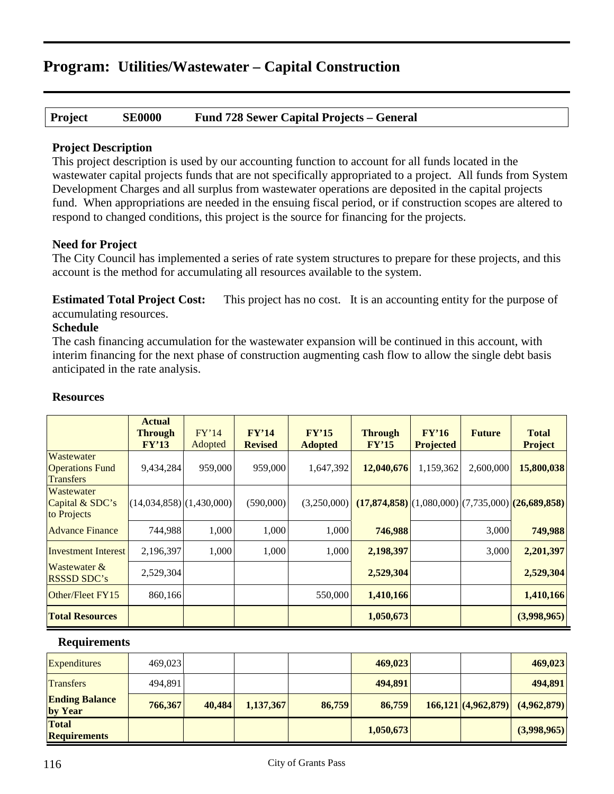# **Project SE0000 Fund 728 Sewer Capital Projects – General**

### **Project Description**

This project description is used by our accounting function to account for all funds located in the wastewater capital projects funds that are not specifically appropriated to a project. All funds from System Development Charges and all surplus from wastewater operations are deposited in the capital projects fund. When appropriations are needed in the ensuing fiscal period, or if construction scopes are altered to respond to changed conditions, this project is the source for financing for the projects.

### **Need for Project**

The City Council has implemented a series of rate system structures to prepare for these projects, and this account is the method for accumulating all resources available to the system.

**Estimated Total Project Cost:** This project has no cost. It is an accounting entity for the purpose of accumulating resources.

### **Schedule**

The cash financing accumulation for the wastewater expansion will be continued in this account, with interim financing for the next phase of construction augmenting cash flow to allow the single debt basis anticipated in the rate analysis.

|                                                          | <b>Actual</b><br><b>Through</b><br>FY'13 | FY'14<br>Adopted | FY'14<br><b>Revised</b> | FY'15<br><b>Adopted</b> | <b>Through</b><br>FY'15 | FY'16<br><b>Projected</b> | <b>Future</b> | <b>Total</b><br><b>Project</b>                      |
|----------------------------------------------------------|------------------------------------------|------------------|-------------------------|-------------------------|-------------------------|---------------------------|---------------|-----------------------------------------------------|
| Wastewater<br><b>Operations Fund</b><br><b>Transfers</b> | 9,434,284                                | 959,000          | 959,000                 | 1,647,392               | 12,040,676              | 1,159,362                 | 2,600,000     | 15,800,038                                          |
| Wastewater<br>Capital & SDC's<br>to Projects             | $(14,034,858)$ $(1,430,000)$             |                  | (590,000)               | (3,250,000)             |                         |                           |               | $(17,874,858)$ (1,080,000) (7,735,000) (26,689,858) |
| <b>Advance Finance</b>                                   | 744,988                                  | 1,000            | 1,000                   | 1,000                   | 746,988                 |                           | 3,000         | 749,988                                             |
| <b>Investment Interest</b>                               | 2,196,397                                | 1,000            | 1,000                   | 1,000                   | 2,198,397               |                           | 3,000         | 2,201,397                                           |
| Wastewater &<br><b>RSSSD SDC's</b>                       | 2,529,304                                |                  |                         |                         | 2,529,304               |                           |               | 2,529,304                                           |
| Other/Fleet FY15                                         | 860,166                                  |                  |                         | 550,000                 | 1,410,166               |                           |               | 1,410,166                                           |
| <b>Total Resources</b>                                   |                                          |                  |                         |                         | 1,050,673               |                           |               | (3,998,965)                                         |
| <b>Requirements</b>                                      |                                          |                  |                         |                         |                         |                           |               |                                                     |

# **Resources**

| <b>Expenditures</b>              | 469,023 |        |           |        | 469,023   |  | 469,023                                                  |
|----------------------------------|---------|--------|-----------|--------|-----------|--|----------------------------------------------------------|
| <b>Transfers</b>                 | 494.891 |        |           |        | 494.891   |  | 494,891                                                  |
| <b>Ending Balance</b><br>by Year | 766,367 | 40,484 | 1,137,367 | 86,759 | 86,759    |  | $\left  \frac{166,121}{(4,962,879)} \right  (4,962,879)$ |
| Total<br><b>Requirements</b>     |         |        |           |        | 1,050,673 |  | (3,998,965)                                              |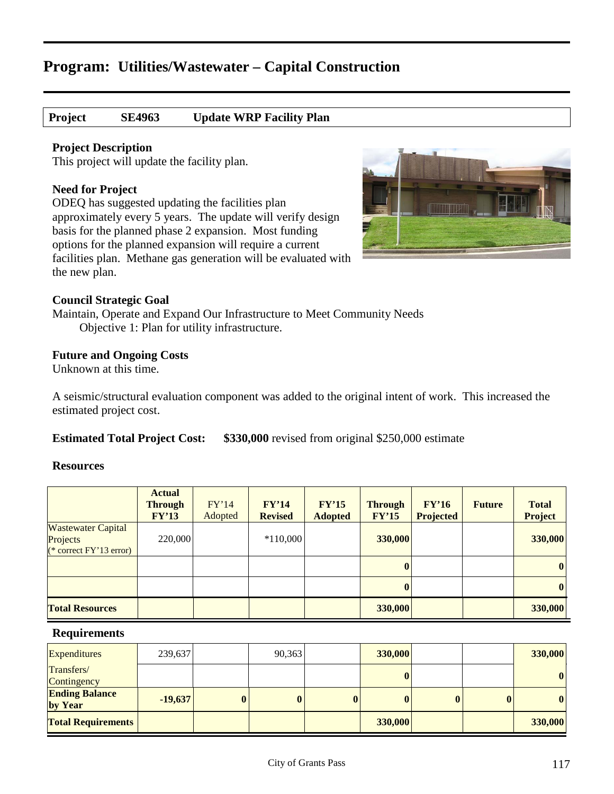# **Project SE4963 Update WRP Facility Plan**

#### **Project Description**

This project will update the facility plan.

#### **Need for Project**

ODEQ has suggested updating the facilities plan approximately every 5 years. The update will verify design basis for the planned phase 2 expansion. Most funding options for the planned expansion will require a current facilities plan. Methane gas generation will be evaluated with the new plan.



#### **Council Strategic Goal**

Maintain, Operate and Expand Our Infrastructure to Meet Community Needs Objective 1: Plan for utility infrastructure.

#### **Future and Ongoing Costs**

Unknown at this time.

A seismic/structural evaluation component was added to the original intent of work. This increased the estimated project cost.

**Estimated Total Project Cost: \$330,000** revised from original \$250,000 estimate

#### **Resources**

|                                                                      | <b>Actual</b><br><b>Through</b><br>FY'13 | FY'14<br>Adopted | FY'14<br><b>Revised</b> | FY'15<br><b>Adopted</b> | <b>Through</b><br>FY'15 | FY'16<br><b>Projected</b> | <b>Future</b> | <b>Total</b><br><b>Project</b> |
|----------------------------------------------------------------------|------------------------------------------|------------------|-------------------------|-------------------------|-------------------------|---------------------------|---------------|--------------------------------|
| <b>Wastewater Capital</b><br>Projects<br>$(*$ correct $FY'13$ error) | 220,000                                  |                  | $*110,000$              |                         | 330,000                 |                           |               | 330,000                        |
|                                                                      |                                          |                  |                         |                         | $\mathbf{0}$            |                           |               | $\boldsymbol{0}$               |
|                                                                      |                                          |                  |                         |                         | $\bf{0}$                |                           |               | $\bf{0}$                       |
| <b>Total Resources</b>                                               |                                          |                  |                         |                         | 330,000                 |                           |               | 330,000                        |

| <b>Expenditures</b>              | 239,637   |          | 90,363   |          | 330,000 |              | 330,000          |
|----------------------------------|-----------|----------|----------|----------|---------|--------------|------------------|
| Transfers/<br>Contingency        |           |          |          |          |         |              | $\boldsymbol{0}$ |
| <b>Ending Balance</b><br>by Year | $-19,637$ | $\bf{0}$ | $\bf{0}$ | $\bf{0}$ |         | $\mathbf{0}$ | $\boldsymbol{0}$ |
| <b>Total Requirements</b>        |           |          |          |          | 330,000 |              | 330,000          |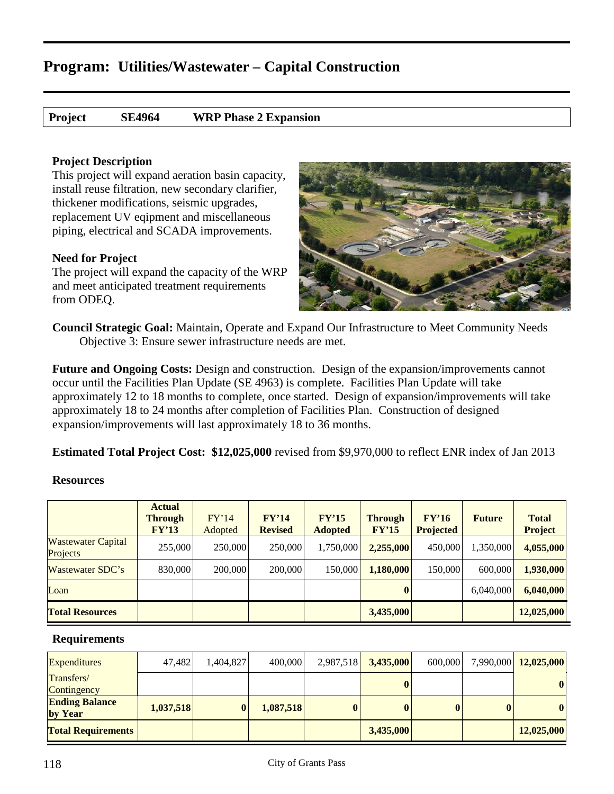**Project SE4964 WRP Phase 2 Expansion**

### **Project Description**

This project will expand aeration basin capacity, install reuse filtration, new secondary clarifier, thickener modifications, seismic upgrades, replacement UV eqipment and miscellaneous piping, electrical and SCADA improvements.

# **Need for Project**

The project will expand the capacity of the WRP and meet anticipated treatment requirements from ODEQ.



**Council Strategic Goal:** Maintain, Operate and Expand Our Infrastructure to Meet Community Needs Objective 3: Ensure sewer infrastructure needs are met.

**Future and Ongoing Costs:** Design and construction. Design of the expansion/improvements cannot occur until the Facilities Plan Update (SE 4963) is complete. Facilities Plan Update will take approximately 12 to 18 months to complete, once started. Design of expansion/improvements will take approximately 18 to 24 months after completion of Facilities Plan. Construction of designed expansion/improvements will last approximately 18 to 36 months.

**Estimated Total Project Cost: \$12,025,000** revised from \$9,970,000 to reflect ENR index of Jan 2013

### **Resources**

|                                       | <b>Actual</b><br>Through<br>FY'13 | FY'14<br>Adopted | FY'14<br><b>Revised</b> | FY'15<br><b>Adopted</b> | <b>Through</b><br>FY'15 | FY'16<br><b>Projected</b> | <b>Future</b> | <b>Total</b><br><b>Project</b> |
|---------------------------------------|-----------------------------------|------------------|-------------------------|-------------------------|-------------------------|---------------------------|---------------|--------------------------------|
| <b>Wastewater Capital</b><br>Projects | 255,000                           | 250,000          | 250,000                 | 1,750,000               | 2,255,000               | 450,000                   | 1,350,000     | 4,055,000                      |
| Wastewater SDC's                      | 830,000                           | 200,000          | 200,000                 | 150,000                 | 1,180,000               | 150,000                   | 600,000       | 1,930,000                      |
| Loan                                  |                                   |                  |                         |                         | $\mathbf{0}$            |                           | 6,040,000     | 6,040,000                      |
| <b>Total Resources</b>                |                                   |                  |                         |                         | 3,435,000               |                           |               | 12,025,000                     |

| <b>Expenditures</b>              | 47,482    | 1,404,827 | 400,000   | 2,987,518 3,435,000 | 600,000 |          | 7,990,000 12,025,000 |
|----------------------------------|-----------|-----------|-----------|---------------------|---------|----------|----------------------|
| Transfers/<br>Contingency        |           |           |           | $\mathbf{0}$        |         |          | $\boldsymbol{0}$     |
| <b>Ending Balance</b><br>by Year | 1,037,518 | $\bf{0}$  | 1,087,518 | $\mathbf{0}$        |         | $\bf{0}$ | $\boldsymbol{0}$     |
| <b>Total Requirements</b>        |           |           |           | 3,435,000           |         |          | 12,025,000           |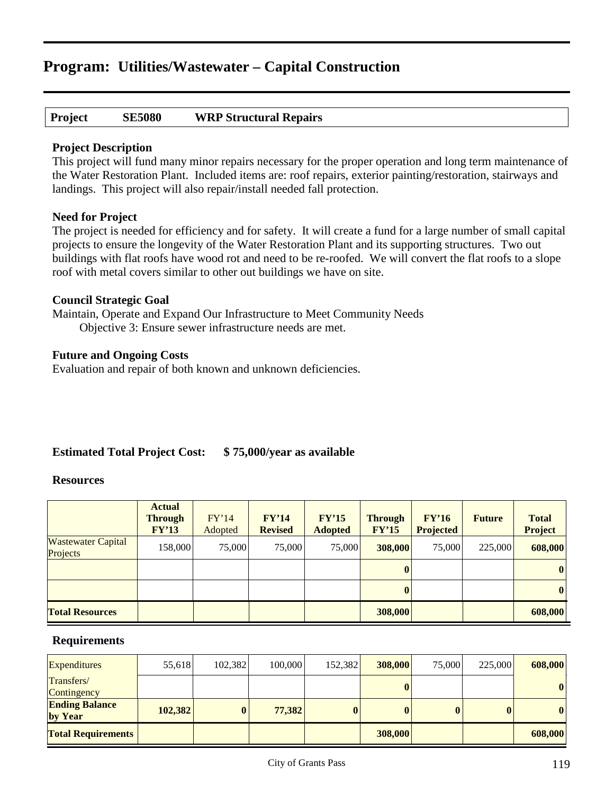# **Project SE5080 WRP Structural Repairs**

### **Project Description**

This project will fund many minor repairs necessary for the proper operation and long term maintenance of the Water Restoration Plant. Included items are: roof repairs, exterior painting/restoration, stairways and landings. This project will also repair/install needed fall protection.

#### **Need for Project**

The project is needed for efficiency and for safety. It will create a fund for a large number of small capital projects to ensure the longevity of the Water Restoration Plant and its supporting structures. Two out buildings with flat roofs have wood rot and need to be re-roofed. We will convert the flat roofs to a slope roof with metal covers similar to other out buildings we have on site.

#### **Council Strategic Goal**

Maintain, Operate and Expand Our Infrastructure to Meet Community Needs Objective 3: Ensure sewer infrastructure needs are met.

### **Future and Ongoing Costs**

Evaluation and repair of both known and unknown deficiencies.

# **Estimated Total Project Cost: \$ 75,000/year as available**

#### **Resources**

|                                       | <b>Actual</b><br><b>Through</b><br>FY'13 | FY'14<br>Adopted | FY'14<br><b>Revised</b> | FY'15<br><b>Adopted</b> | <b>Through</b><br>FY'15 | FY'16<br><b>Projected</b> | <b>Future</b> | <b>Total</b><br>Project |
|---------------------------------------|------------------------------------------|------------------|-------------------------|-------------------------|-------------------------|---------------------------|---------------|-------------------------|
| <b>Wastewater Capital</b><br>Projects | 158,000                                  | 75,000           | 75,000                  | 75,000                  | 308,000                 | 75,000                    | 225,000       | 608,000                 |
|                                       |                                          |                  |                         |                         | $\mathbf{0}$            |                           |               | $\bf{0}$                |
|                                       |                                          |                  |                         |                         | $\bf{0}$                |                           |               | $\bf{0}$                |
| <b>Total Resources</b>                |                                          |                  |                         |                         | 308,000                 |                           |               | 608,000                 |

| <b>Expenditures</b>              | 55,618  | 102,382  | 100,000 | 152,382  | 308,000 | 75,000 | 225,000      | 608,000          |
|----------------------------------|---------|----------|---------|----------|---------|--------|--------------|------------------|
| Transfers/<br>Contingency        |         |          |         |          |         |        |              | $\boldsymbol{0}$ |
| <b>Ending Balance</b><br>by Year | 102,382 | $\bf{0}$ | 77,382  | $\bf{0}$ |         |        | $\mathbf{0}$ | 0                |
| <b>Total Requirements</b>        |         |          |         |          | 308,000 |        |              | 608,000          |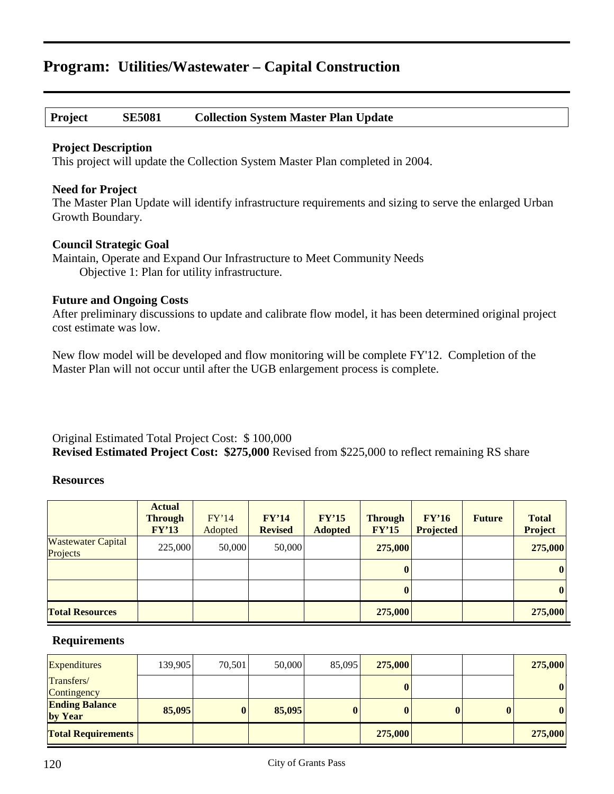# **Project SE5081 Collection System Master Plan Update**

#### **Project Description**

This project will update the Collection System Master Plan completed in 2004.

#### **Need for Project**

The Master Plan Update will identify infrastructure requirements and sizing to serve the enlarged Urban Growth Boundary.

#### **Council Strategic Goal**

Maintain, Operate and Expand Our Infrastructure to Meet Community Needs Objective 1: Plan for utility infrastructure.

#### **Future and Ongoing Costs**

After preliminary discussions to update and calibrate flow model, it has been determined original project cost estimate was low.

New flow model will be developed and flow monitoring will be complete FY'12. Completion of the Master Plan will not occur until after the UGB enlargement process is complete.

Original Estimated Total Project Cost: \$ 100,000 **Revised Estimated Project Cost: \$275,000** Revised from \$225,000 to reflect remaining RS share

### **Resources**

|                                       | <b>Actual</b><br><b>Through</b><br>FY'13 | FY'14<br>Adopted | FY'14<br><b>Revised</b> | FY'15<br><b>Adopted</b> | <b>Through</b><br>FY'15 | FY'16<br><b>Projected</b> | <b>Future</b> | <b>Total</b><br><b>Project</b> |
|---------------------------------------|------------------------------------------|------------------|-------------------------|-------------------------|-------------------------|---------------------------|---------------|--------------------------------|
| <b>Wastewater Capital</b><br>Projects | 225,000                                  | 50,000           | 50,000                  |                         | 275,000                 |                           |               | 275,000                        |
|                                       |                                          |                  |                         |                         | $\bf{0}$                |                           |               | $\mathbf{0}$                   |
|                                       |                                          |                  |                         |                         | $\bf{0}$                |                           |               | 0                              |
| <b>Total Resources</b>                |                                          |                  |                         |                         | 275,000                 |                           |               | 275,000                        |

| <b>Expenditures</b>              | 139,905 | 70,501   | 50,000 | 85,095 | 275,000      |              | 275,000          |
|----------------------------------|---------|----------|--------|--------|--------------|--------------|------------------|
| Transfers/<br>Contingency        |         |          |        |        | $\bf{0}$     |              | $\bf{0}$         |
| <b>Ending Balance</b><br>by Year | 85,095  | $\bf{0}$ | 85,095 |        | $\mathbf{0}$ | $\mathbf{0}$ | $\boldsymbol{0}$ |
| <b>Total Requirements</b>        |         |          |        |        | 275,000      |              | 275,000          |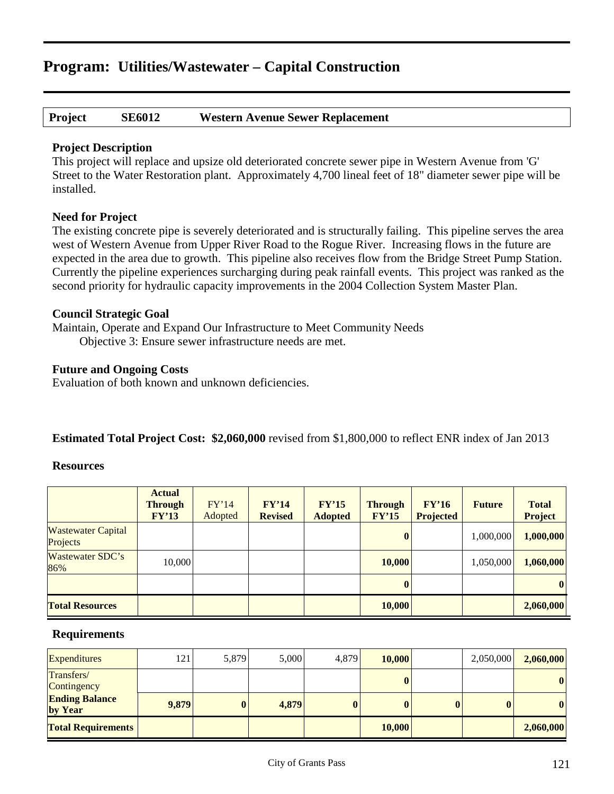### **Project SE6012 Western Avenue Sewer Replacement**

### **Project Description**

This project will replace and upsize old deteriorated concrete sewer pipe in Western Avenue from 'G' Street to the Water Restoration plant. Approximately 4,700 lineal feet of 18" diameter sewer pipe will be installed.

### **Need for Project**

The existing concrete pipe is severely deteriorated and is structurally failing. This pipeline serves the area west of Western Avenue from Upper River Road to the Rogue River. Increasing flows in the future are expected in the area due to growth. This pipeline also receives flow from the Bridge Street Pump Station. Currently the pipeline experiences surcharging during peak rainfall events. This project was ranked as the second priority for hydraulic capacity improvements in the 2004 Collection System Master Plan.

### **Council Strategic Goal**

Maintain, Operate and Expand Our Infrastructure to Meet Community Needs Objective 3: Ensure sewer infrastructure needs are met.

# **Future and Ongoing Costs**

Evaluation of both known and unknown deficiencies.

### **Estimated Total Project Cost: \$2,060,000** revised from \$1,800,000 to reflect ENR index of Jan 2013

### **Resources**

|                                       | <b>Actual</b><br><b>Through</b><br>FY'13 | FY'14<br>Adopted | FY'14<br><b>Revised</b> | FY'15<br><b>Adopted</b> | <b>Through</b><br>FY'15 | FY'16<br><b>Projected</b> | <b>Future</b> | <b>Total</b><br><b>Project</b> |
|---------------------------------------|------------------------------------------|------------------|-------------------------|-------------------------|-------------------------|---------------------------|---------------|--------------------------------|
| <b>Wastewater Capital</b><br>Projects |                                          |                  |                         |                         | $\boldsymbol{0}$        |                           | 1,000,000     | 1,000,000                      |
| Wastewater SDC's<br>86%               | 10,000                                   |                  |                         |                         | 10,000                  |                           | 1,050,000     | 1,060,000                      |
|                                       |                                          |                  |                         |                         | $\mathbf{0}$            |                           |               | $\bf{0}$                       |
| <b>Total Resources</b>                |                                          |                  |                         |                         | 10,000                  |                           |               | 2,060,000                      |

| <b>Expenditures</b>              | 121   | 5,879    | 5,000 | 4,879    | 10,000 | 2,050,000 | 2,060,000        |
|----------------------------------|-------|----------|-------|----------|--------|-----------|------------------|
| Transfers/<br>Contingency        |       |          |       |          |        |           | $\boldsymbol{0}$ |
| <b>Ending Balance</b><br>by Year | 9,879 | $\bf{0}$ | 4,879 | $\bf{0}$ |        | $\bf{0}$  | $\boldsymbol{0}$ |
| <b>Total Requirements</b>        |       |          |       |          | 10,000 |           | 2,060,000        |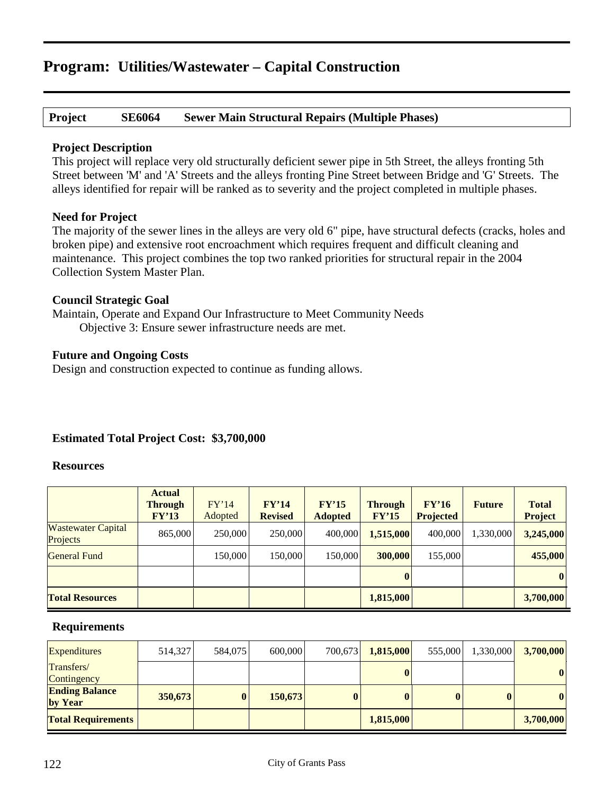# **Project SE6064 Sewer Main Structural Repairs (Multiple Phases)**

#### **Project Description**

This project will replace very old structurally deficient sewer pipe in 5th Street, the alleys fronting 5th Street between 'M' and 'A' Streets and the alleys fronting Pine Street between Bridge and 'G' Streets. The alleys identified for repair will be ranked as to severity and the project completed in multiple phases.

#### **Need for Project**

The majority of the sewer lines in the alleys are very old 6" pipe, have structural defects (cracks, holes and broken pipe) and extensive root encroachment which requires frequent and difficult cleaning and maintenance. This project combines the top two ranked priorities for structural repair in the 2004 Collection System Master Plan.

#### **Council Strategic Goal**

Maintain, Operate and Expand Our Infrastructure to Meet Community Needs Objective 3: Ensure sewer infrastructure needs are met.

### **Future and Ongoing Costs**

Design and construction expected to continue as funding allows.

### **Estimated Total Project Cost: \$3,700,000**

#### **Resources**

|                                       | <b>Actual</b><br><b>Through</b><br>FY'13 | FY'14<br>Adopted | FY'14<br><b>Revised</b> | FY'15<br><b>Adopted</b> | <b>Through</b><br>FY'15 | FY'16<br><b>Projected</b> | <b>Future</b> | <b>Total</b><br><b>Project</b> |
|---------------------------------------|------------------------------------------|------------------|-------------------------|-------------------------|-------------------------|---------------------------|---------------|--------------------------------|
| <b>Wastewater Capital</b><br>Projects | 865,000                                  | 250,000          | 250,000                 | 400,000                 | 1,515,000               | 400,000                   | 1,330,000     | 3,245,000                      |
| <b>General Fund</b>                   |                                          | 150,000          | 150,000                 | 150,000                 | 300,000                 | 155,000                   |               | 455,000                        |
|                                       |                                          |                  |                         |                         |                         |                           |               | $\bf{0}$                       |
| <b>Total Resources</b>                |                                          |                  |                         |                         | 1,815,000               |                           |               | 3,700,000                      |

| <b>Expenditures</b>              | 514,327 | 584,075  | 600,000 | 700,673  | 1,815,000    | 555,000 | 1,330,000    | 3,700,000    |
|----------------------------------|---------|----------|---------|----------|--------------|---------|--------------|--------------|
| Transfers/<br>Contingency        |         |          |         |          | 0            |         |              | $\mathbf{0}$ |
| <b>Ending Balance</b><br>by Year | 350,673 | $\bf{0}$ | 150,673 | $\bf{0}$ | $\mathbf{0}$ |         | $\mathbf{0}$ | $\mathbf{0}$ |
| <b>Total Requirements</b>        |         |          |         |          | 1,815,000    |         |              | 3,700,000    |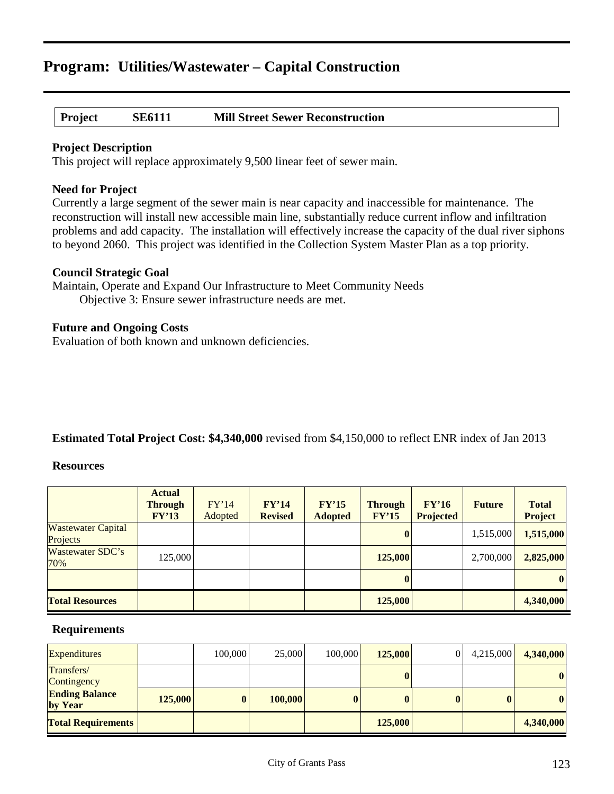# **Project SE6111 Mill Street Sewer Reconstruction**

#### **Project Description**

This project will replace approximately 9,500 linear feet of sewer main.

#### **Need for Project**

Currently a large segment of the sewer main is near capacity and inaccessible for maintenance. The reconstruction will install new accessible main line, substantially reduce current inflow and infiltration problems and add capacity. The installation will effectively increase the capacity of the dual river siphons to beyond 2060. This project was identified in the Collection System Master Plan as a top priority.

#### **Council Strategic Goal**

Maintain, Operate and Expand Our Infrastructure to Meet Community Needs Objective 3: Ensure sewer infrastructure needs are met.

#### **Future and Ongoing Costs**

Evaluation of both known and unknown deficiencies.

### **Estimated Total Project Cost: \$4,340,000** revised from \$4,150,000 to reflect ENR index of Jan 2013

#### **Resources**

|                                       | <b>Actual</b><br><b>Through</b><br>FY'13 | FY'14<br>Adopted | FY'14<br><b>Revised</b> | FY'15<br><b>Adopted</b> | <b>Through</b><br>FY'15 | FY'16<br><b>Projected</b> | <b>Future</b> | <b>Total</b><br><b>Project</b> |
|---------------------------------------|------------------------------------------|------------------|-------------------------|-------------------------|-------------------------|---------------------------|---------------|--------------------------------|
| <b>Wastewater Capital</b><br>Projects |                                          |                  |                         |                         | $\mathbf{0}$            |                           | 1,515,000     | 1,515,000                      |
| Wastewater SDC's<br>70%               | 125,000                                  |                  |                         |                         | 125,000                 |                           | 2,700,000     | 2,825,000                      |
|                                       |                                          |                  |                         |                         | $\mathbf{0}$            |                           |               | $\bf{0}$                       |
| <b>Total Resources</b>                |                                          |                  |                         |                         | 125,000                 |                           |               | 4,340,000                      |

| <b>Expenditures</b>              |         | 100,000  | 25,000  | 100,000  | 125,000 | 4,215,000    | 4,340,000        |
|----------------------------------|---------|----------|---------|----------|---------|--------------|------------------|
| Transfers/<br>Contingency        |         |          |         |          |         |              | 0                |
| <b>Ending Balance</b><br>by Year | 125,000 | $\bf{0}$ | 100,000 | $\bf{0}$ |         | $\mathbf{0}$ | $\boldsymbol{0}$ |
| <b>Total Requirements</b>        |         |          |         |          | 125,000 |              | 4,340,000        |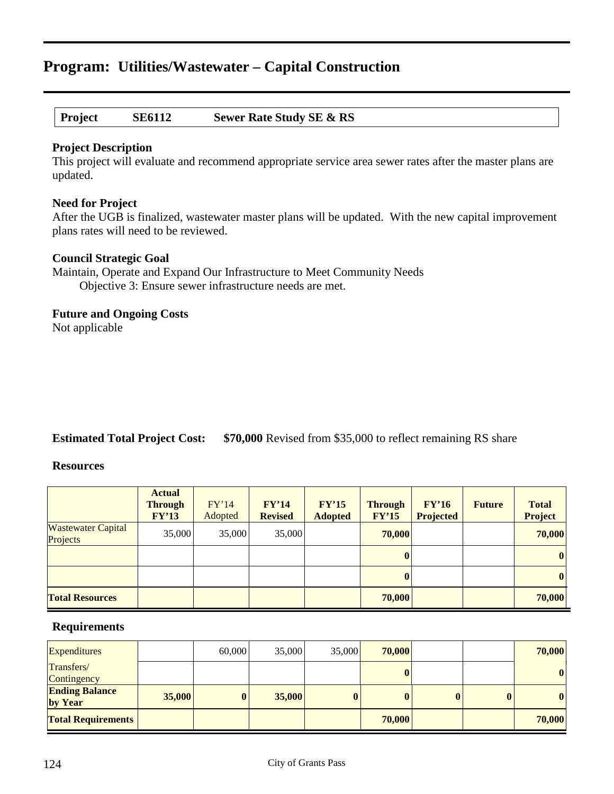# **Project SE6112 Sewer Rate Study SE & RS**

#### **Project Description**

This project will evaluate and recommend appropriate service area sewer rates after the master plans are updated.

#### **Need for Project**

After the UGB is finalized, wastewater master plans will be updated. With the new capital improvement plans rates will need to be reviewed.

#### **Council Strategic Goal**

Maintain, Operate and Expand Our Infrastructure to Meet Community Needs Objective 3: Ensure sewer infrastructure needs are met.

# **Future and Ongoing Costs**

Not applicable

# **Estimated Total Project Cost: \$70,000** Revised from \$35,000 to reflect remaining RS share

#### **Resources**

|                                       | <b>Actual</b><br><b>Through</b><br>FY'13 | FY'14<br>Adopted | FY'14<br><b>Revised</b> | FY'15<br><b>Adopted</b> | <b>Through</b><br>FY'15 | FY'16<br><b>Projected</b> | <b>Future</b> | <b>Total</b><br>Project |
|---------------------------------------|------------------------------------------|------------------|-------------------------|-------------------------|-------------------------|---------------------------|---------------|-------------------------|
| <b>Wastewater Capital</b><br>Projects | 35,000                                   | 35,000           | 35,000                  |                         | 70,000                  |                           |               | 70,000                  |
|                                       |                                          |                  |                         |                         | $\bf{0}$                |                           |               | $\boldsymbol{0}$        |
|                                       |                                          |                  |                         |                         | $\bf{0}$                |                           |               | $\bf{0}$                |
| <b>Total Resources</b>                |                                          |                  |                         |                         | 70,000                  |                           |               | 70,000                  |

| <b>Expenditures</b>              |        | 60,000   | 35,000 | 35,000   | 70,000   |  | 70,000   |
|----------------------------------|--------|----------|--------|----------|----------|--|----------|
| Transfers/<br>Contingency        |        |          |        |          | $\bf{0}$ |  | $\bf{0}$ |
| <b>Ending Balance</b><br>by Year | 35,000 | $\bf{0}$ | 35,000 | $\bf{0}$ | $\bf{0}$ |  | $\bf{0}$ |
| <b>Total Requirements</b>        |        |          |        |          | 70,000   |  | 70,000   |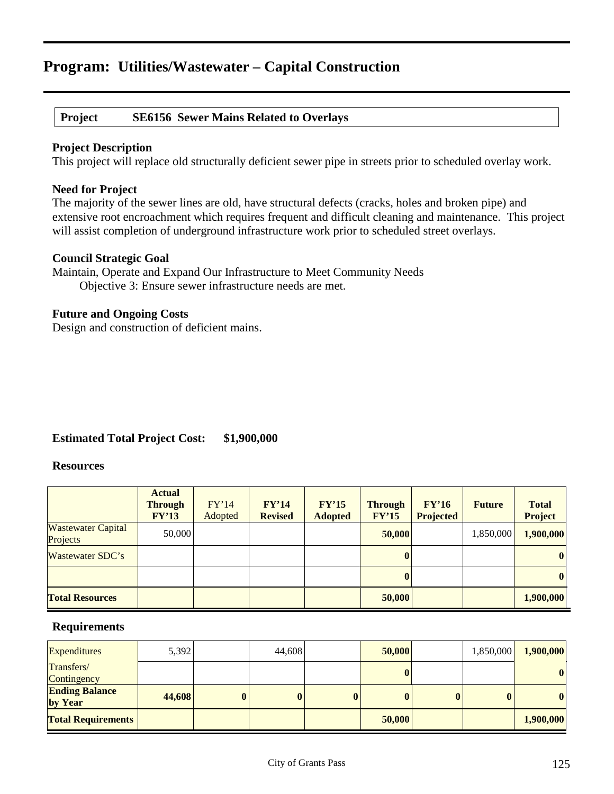# **Project SE6156 Sewer Mains Related to Overlays**

### **Project Description**

This project will replace old structurally deficient sewer pipe in streets prior to scheduled overlay work.

### **Need for Project**

The majority of the sewer lines are old, have structural defects (cracks, holes and broken pipe) and extensive root encroachment which requires frequent and difficult cleaning and maintenance. This project will assist completion of underground infrastructure work prior to scheduled street overlays.

### **Council Strategic Goal**

Maintain, Operate and Expand Our Infrastructure to Meet Community Needs Objective 3: Ensure sewer infrastructure needs are met.

### **Future and Ongoing Costs**

Design and construction of deficient mains.

# **Estimated Total Project Cost: \$1,900,000**

#### **Resources**

|                                       | <b>Actual</b><br><b>Through</b><br>FY'13 | FY'14<br>Adopted | FY'14<br><b>Revised</b> | FY'15<br><b>Adopted</b> | <b>Through</b><br>FY'15 | FY'16<br><b>Projected</b> | <b>Future</b> | <b>Total</b><br><b>Project</b> |
|---------------------------------------|------------------------------------------|------------------|-------------------------|-------------------------|-------------------------|---------------------------|---------------|--------------------------------|
| <b>Wastewater Capital</b><br>Projects | 50,000                                   |                  |                         |                         | 50,000                  |                           | 1,850,000     | 1,900,000                      |
| Wastewater SDC's                      |                                          |                  |                         |                         |                         |                           |               | $\bf{0}$                       |
|                                       |                                          |                  |                         |                         |                         |                           |               | $\vert 0 \vert$                |
| <b>Total Resources</b>                |                                          |                  |                         |                         | 50,000                  |                           |               | 1,900,000                      |

| <b>Expenditures</b>              | 5,392  |          | 44,608   |          | 50,000 | 1,850,000 | 1,900,000        |
|----------------------------------|--------|----------|----------|----------|--------|-----------|------------------|
| Transfers/<br>Contingency        |        |          |          |          |        |           | $\boldsymbol{0}$ |
| <b>Ending Balance</b><br>by Year | 44,608 | $\bf{0}$ | $\bf{0}$ | $\bf{0}$ |        | $\bf{0}$  | $\boldsymbol{0}$ |
| <b>Total Requirements</b>        |        |          |          |          | 50,000 |           | 1,900,000        |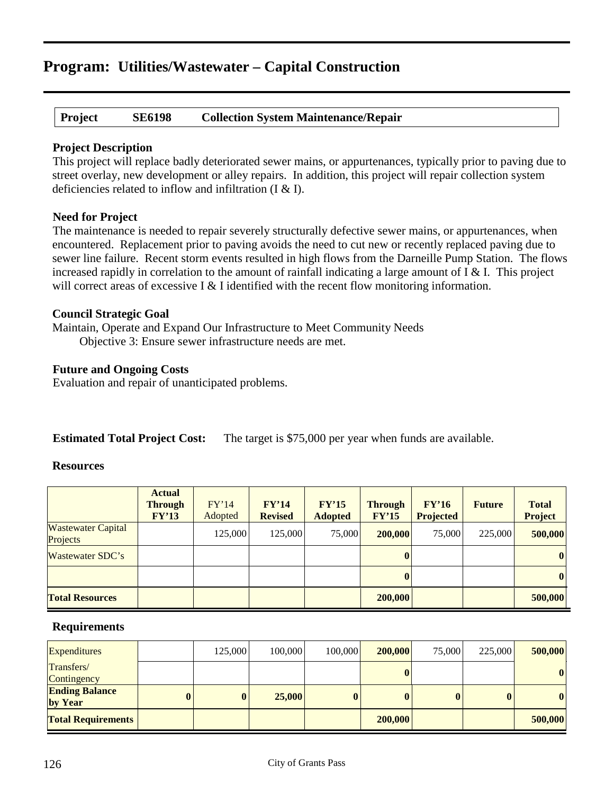**Project SE6198 Collection System Maintenance/Repair**

# **Project Description**

This project will replace badly deteriorated sewer mains, or appurtenances, typically prior to paving due to street overlay, new development or alley repairs. In addition, this project will repair collection system deficiencies related to inflow and infiltration (I & I).

# **Need for Project**

The maintenance is needed to repair severely structurally defective sewer mains, or appurtenances, when encountered. Replacement prior to paving avoids the need to cut new or recently replaced paving due to sewer line failure. Recent storm events resulted in high flows from the Darneille Pump Station. The flows increased rapidly in correlation to the amount of rainfall indicating a large amount of  $I \& I$ . This project will correct areas of excessive I & I identified with the recent flow monitoring information.

# **Council Strategic Goal**

Maintain, Operate and Expand Our Infrastructure to Meet Community Needs

Objective 3: Ensure sewer infrastructure needs are met.

# **Future and Ongoing Costs**

Evaluation and repair of unanticipated problems.

**Estimated Total Project Cost:** The target is \$75,000 per year when funds are available.

### **Resources**

|                                       | <b>Actual</b><br><b>Through</b><br>FY'13 | FY'14<br>Adopted | FY'14<br><b>Revised</b> | FY'15<br><b>Adopted</b> | <b>Through</b><br>FY'15 | FY'16<br><b>Projected</b> | <b>Future</b> | <b>Total</b><br><b>Project</b> |
|---------------------------------------|------------------------------------------|------------------|-------------------------|-------------------------|-------------------------|---------------------------|---------------|--------------------------------|
| <b>Wastewater Capital</b><br>Projects |                                          | 125,000          | 125,000                 | 75,000                  | 200,000                 | 75,000                    | 225,000       | 500,000                        |
| Wastewater SDC's                      |                                          |                  |                         |                         | $\bf{0}$                |                           |               | $\boldsymbol{0}$               |
|                                       |                                          |                  |                         |                         |                         |                           |               | $\bf{0}$                       |
| <b>Total Resources</b>                |                                          |                  |                         |                         | 200,000                 |                           |               | 500,000                        |

| <b>Expenditures</b>              |   | 125,000 | 100,000 | 100,000 | 200,000      | 75,000 | 225,000 | 500,000          |
|----------------------------------|---|---------|---------|---------|--------------|--------|---------|------------------|
| Transfers/<br>Contingency        |   |         |         |         | $\bf{0}$     |        |         | $\boldsymbol{0}$ |
| <b>Ending Balance</b><br>by Year | 0 |         | 25,000  |         | $\mathbf{0}$ |        |         | $\boldsymbol{0}$ |
| <b>Total Requirements</b>        |   |         |         |         | 200,000      |        |         | 500,000          |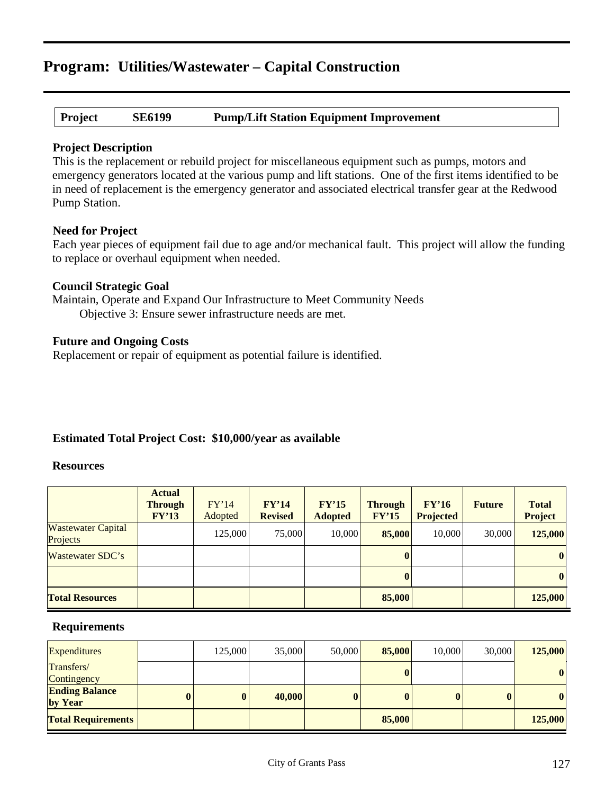**Project SE6199 Pump/Lift Station Equipment Improvement**

#### **Project Description**

This is the replacement or rebuild project for miscellaneous equipment such as pumps, motors and emergency generators located at the various pump and lift stations. One of the first items identified to be in need of replacement is the emergency generator and associated electrical transfer gear at the Redwood Pump Station.

#### **Need for Project**

Each year pieces of equipment fail due to age and/or mechanical fault. This project will allow the funding to replace or overhaul equipment when needed.

### **Council Strategic Goal**

Maintain, Operate and Expand Our Infrastructure to Meet Community Needs Objective 3: Ensure sewer infrastructure needs are met.

### **Future and Ongoing Costs**

Replacement or repair of equipment as potential failure is identified.

### **Estimated Total Project Cost: \$10,000/year as available**

#### **Resources**

|                                       | <b>Actual</b><br><b>Through</b><br>FY'13 | FY'14<br>Adopted | FY'14<br><b>Revised</b> | FY'15<br><b>Adopted</b> | <b>Through</b><br>FY'15 | FY'16<br><b>Projected</b> | <b>Future</b> | <b>Total</b><br><b>Project</b> |
|---------------------------------------|------------------------------------------|------------------|-------------------------|-------------------------|-------------------------|---------------------------|---------------|--------------------------------|
| <b>Wastewater Capital</b><br>Projects |                                          | 125,000          | 75,000                  | 10,000                  | 85,000                  | 10,000                    | 30,000        | 125,000                        |
| Wastewater SDC's                      |                                          |                  |                         |                         |                         |                           |               | $\vert 0 \vert$                |
|                                       |                                          |                  |                         |                         |                         |                           |               | $\bf{0}$                       |
| <b>Total Resources</b>                |                                          |                  |                         |                         | 85,000                  |                           |               | 125,000                        |

| <b>Expenditures</b>              |          | 125,000  | 35,000 | 50,000   | 85,000 | 10,000 | 30,000   | 125,000  |
|----------------------------------|----------|----------|--------|----------|--------|--------|----------|----------|
| Transfers/<br>Contingency        |          |          |        |          |        |        |          | $\bf{0}$ |
| <b>Ending Balance</b><br>by Year | $\bf{0}$ | $\bf{0}$ | 40,000 | $\bf{0}$ |        |        | $\bf{0}$ | $\bf{0}$ |
| <b>Total Requirements</b>        |          |          |        |          | 85,000 |        |          | 125,000  |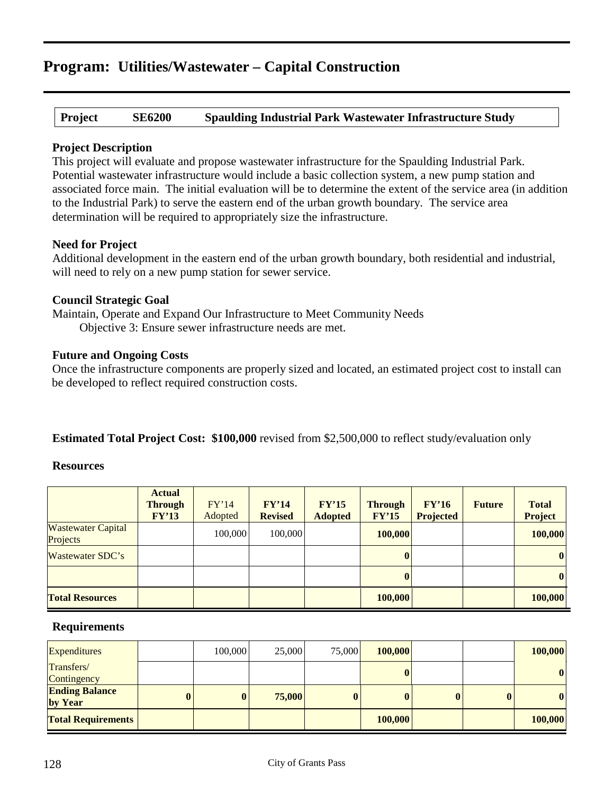**Project SE6200 Spaulding Industrial Park Wastewater Infrastructure Study**

### **Project Description**

This project will evaluate and propose wastewater infrastructure for the Spaulding Industrial Park. Potential wastewater infrastructure would include a basic collection system, a new pump station and associated force main. The initial evaluation will be to determine the extent of the service area (in addition to the Industrial Park) to serve the eastern end of the urban growth boundary. The service area determination will be required to appropriately size the infrastructure.

# **Need for Project**

Additional development in the eastern end of the urban growth boundary, both residential and industrial, will need to rely on a new pump station for sewer service.

### **Council Strategic Goal**

Maintain, Operate and Expand Our Infrastructure to Meet Community Needs Objective 3: Ensure sewer infrastructure needs are met.

# **Future and Ongoing Costs**

Once the infrastructure components are properly sized and located, an estimated project cost to install can be developed to reflect required construction costs.

# **Estimated Total Project Cost: \$100,000** revised from \$2,500,000 to reflect study/evaluation only

#### **Resources**

|                                       | <b>Actual</b><br><b>Through</b><br>FY'13 | FY'14<br>Adopted | FY'14<br><b>Revised</b> | FY'15<br><b>Adopted</b> | <b>Through</b><br>FY'15 | FY'16<br><b>Projected</b> | <b>Future</b> | <b>Total</b><br><b>Project</b> |
|---------------------------------------|------------------------------------------|------------------|-------------------------|-------------------------|-------------------------|---------------------------|---------------|--------------------------------|
| <b>Wastewater Capital</b><br>Projects |                                          | 100,000          | 100,000                 |                         | 100,000                 |                           |               | 100,000                        |
| Wastewater SDC's                      |                                          |                  |                         |                         | $\bf{0}$                |                           |               | $\bf{0}$                       |
|                                       |                                          |                  |                         |                         | $\mathbf{0}$            |                           |               | $\bf{0}$                       |
| <b>Total Resources</b>                |                                          |                  |                         |                         | 100,000                 |                           |               | 100,000                        |

| <b>Expenditures</b>              |   | 100,000  | 25,000 | 75,000   | 100,000  |  | 100,000      |
|----------------------------------|---|----------|--------|----------|----------|--|--------------|
| Transfers/<br>Contingency        |   |          |        |          | $\bf{0}$ |  | $\mathbf{0}$ |
| <b>Ending Balance</b><br>by Year | 0 | $\bf{0}$ | 75,000 | $\bf{0}$ | $\bf{0}$ |  | $\bf{0}$     |
| <b>Total Requirements</b>        |   |          |        |          | 100,000  |  | 100,000      |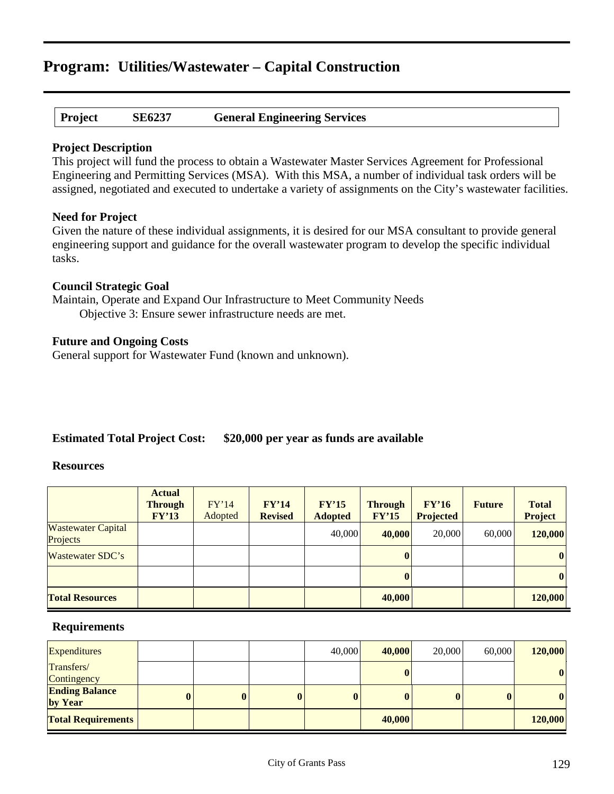| Project | <b>SE6237</b> | <b>General Engineering Services</b> |
|---------|---------------|-------------------------------------|
|---------|---------------|-------------------------------------|

#### **Project Description**

This project will fund the process to obtain a Wastewater Master Services Agreement for Professional Engineering and Permitting Services (MSA). With this MSA, a number of individual task orders will be assigned, negotiated and executed to undertake a variety of assignments on the City's wastewater facilities.

#### **Need for Project**

Given the nature of these individual assignments, it is desired for our MSA consultant to provide general engineering support and guidance for the overall wastewater program to develop the specific individual tasks.

### **Council Strategic Goal**

Maintain, Operate and Expand Our Infrastructure to Meet Community Needs Objective 3: Ensure sewer infrastructure needs are met.

### **Future and Ongoing Costs**

General support for Wastewater Fund (known and unknown).

# **Estimated Total Project Cost: \$20,000 per year as funds are available**

#### **Resources**

|                                       | <b>Actual</b><br><b>Through</b><br>FY'13 | FY'14<br>Adopted | FY'14<br><b>Revised</b> | FY'15<br><b>Adopted</b> | <b>Through</b><br>FY'15 | FY'16<br><b>Projected</b> | <b>Future</b> | <b>Total</b><br><b>Project</b> |
|---------------------------------------|------------------------------------------|------------------|-------------------------|-------------------------|-------------------------|---------------------------|---------------|--------------------------------|
| <b>Wastewater Capital</b><br>Projects |                                          |                  |                         | 40,000                  | 40,000                  | 20,000                    | 60,000        | 120,000                        |
| Wastewater SDC's                      |                                          |                  |                         |                         |                         |                           |               | $\bf{0}$                       |
|                                       |                                          |                  |                         |                         |                         |                           |               | $\boldsymbol{0}$               |
| <b>Total Resources</b>                |                                          |                  |                         |                         | 40,000                  |                           |               | 120,000                        |

| <b>Expenditures</b>              |   |          |          | 40,000   | 40,000 | 20,000 | 60,000   | 120,000  |
|----------------------------------|---|----------|----------|----------|--------|--------|----------|----------|
| Transfers/<br>Contingency        |   |          |          |          |        |        |          | $\bf{0}$ |
| <b>Ending Balance</b><br>by Year | 0 | $\bf{0}$ | $\bf{0}$ | $\bf{0}$ |        | 0      | $\bf{0}$ | $\bf{0}$ |
| <b>Total Requirements</b>        |   |          |          |          | 40,000 |        |          | 120,000  |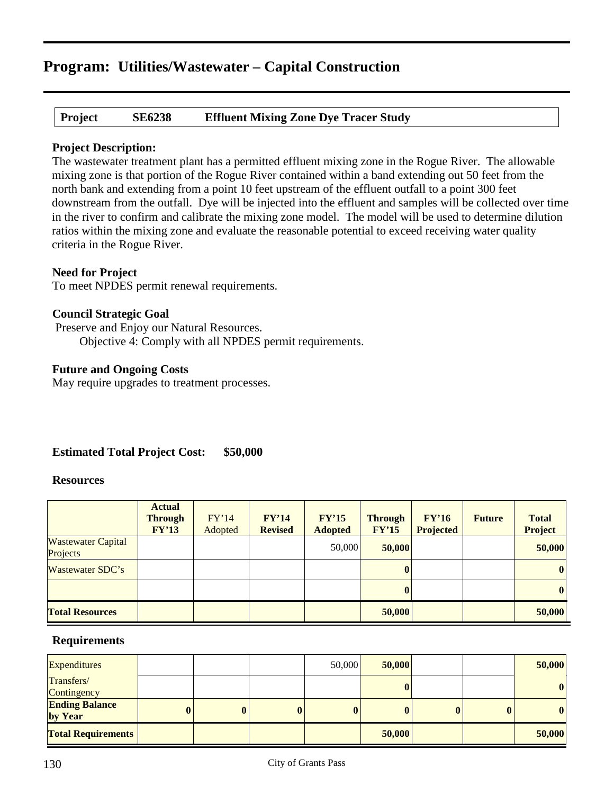**Project SE6238 Effluent Mixing Zone Dye Tracer Study**

# **Project Description:**

The wastewater treatment plant has a permitted effluent mixing zone in the Rogue River. The allowable mixing zone is that portion of the Rogue River contained within a band extending out 50 feet from the north bank and extending from a point 10 feet upstream of the effluent outfall to a point 300 feet downstream from the outfall. Dye will be injected into the effluent and samples will be collected over time in the river to confirm and calibrate the mixing zone model. The model will be used to determine dilution ratios within the mixing zone and evaluate the reasonable potential to exceed receiving water quality criteria in the Rogue River.

# **Need for Project**

To meet NPDES permit renewal requirements.

# **Council Strategic Goal**

Preserve and Enjoy our Natural Resources. Objective 4: Comply with all NPDES permit requirements.

# **Future and Ongoing Costs**

May require upgrades to treatment processes.

# **Estimated Total Project Cost: \$50,000**

### **Resources**

|                                       | <b>Actual</b><br><b>Through</b><br>FY'13 | FY'14<br>Adopted | FY'14<br><b>Revised</b> | FY'15<br><b>Adopted</b> | <b>Through</b><br>FY'15 | FY'16<br><b>Projected</b> | <b>Future</b> | <b>Total</b><br>Project |
|---------------------------------------|------------------------------------------|------------------|-------------------------|-------------------------|-------------------------|---------------------------|---------------|-------------------------|
| <b>Wastewater Capital</b><br>Projects |                                          |                  |                         | 50,000                  | 50,000                  |                           |               | 50,000                  |
| Wastewater SDC's                      |                                          |                  |                         |                         | $\mathbf{0}$            |                           |               | $\bf{0}$                |
|                                       |                                          |                  |                         |                         | $\mathbf{0}$            |                           |               | $\bf{0}$                |
| <b>Total Resources</b>                |                                          |                  |                         |                         | 50,000                  |                           |               | 50,000                  |

| <b>Expenditures</b>              |   |   |          | 50,000       | 50,000       |  | 50,000       |
|----------------------------------|---|---|----------|--------------|--------------|--|--------------|
| Transfers/<br>Contingency        |   |   |          |              | $\bf{0}$     |  | $\mathbf{0}$ |
| <b>Ending Balance</b><br>by Year | 0 | 0 | $\bf{0}$ | $\mathbf{0}$ | $\mathbf{0}$ |  | $\bf{0}$     |
| <b>Total Requirements</b>        |   |   |          |              | 50,000       |  | 50,000       |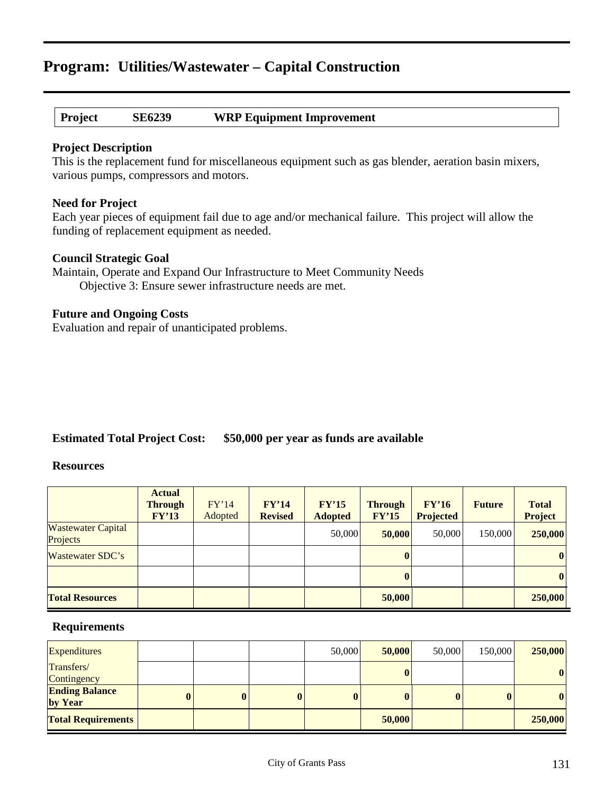### **Project SE6239 WRP Equipment Improvement**

#### **Project Description**

This is the replacement fund for miscellaneous equipment such as gas blender, aeration basin mixers, various pumps, compressors and motors.

#### **Need for Project**

Each year pieces of equipment fail due to age and/or mechanical failure. This project will allow the funding of replacement equipment as needed.

#### **Council Strategic Goal**

Maintain, Operate and Expand Our Infrastructure to Meet Community Needs Objective 3: Ensure sewer infrastructure needs are met.

### **Future and Ongoing Costs**

Evaluation and repair of unanticipated problems.

# **Estimated Total Project Cost: \$50,000 per year as funds are available**

#### **Resources**

|                                       | <b>Actual</b><br><b>Through</b><br>FY'13 | FY'14<br>Adopted | FY'14<br><b>Revised</b> | FY'15<br><b>Adopted</b> | <b>Through</b><br>FY'15 | FY'16<br><b>Projected</b> | <b>Future</b> | <b>Total</b><br><b>Project</b> |
|---------------------------------------|------------------------------------------|------------------|-------------------------|-------------------------|-------------------------|---------------------------|---------------|--------------------------------|
| <b>Wastewater Capital</b><br>Projects |                                          |                  |                         | 50,000                  | 50,000                  | 50,000                    | 150,000       | 250,000                        |
| Wastewater SDC's                      |                                          |                  |                         |                         |                         |                           |               | $\boldsymbol{0}$               |
|                                       |                                          |                  |                         |                         |                         |                           |               | $\boldsymbol{0}$               |
| <b>Total Resources</b>                |                                          |                  |                         |                         | 50,000                  |                           |               | 250,000                        |

| <b>Expenditures</b>              |          |          |          | 50,000   | 50,000 | 50,000 | 150,000  | 250,000          |
|----------------------------------|----------|----------|----------|----------|--------|--------|----------|------------------|
| Transfers/<br>Contingency        |          |          |          |          |        |        |          | $\boldsymbol{0}$ |
| <b>Ending Balance</b><br>by Year | $\bf{0}$ | $\bf{0}$ | $\bf{0}$ | $\bf{0}$ |        |        | $\bf{0}$ | $\boldsymbol{0}$ |
| <b>Total Requirements</b>        |          |          |          |          | 50,000 |        |          | 250,000          |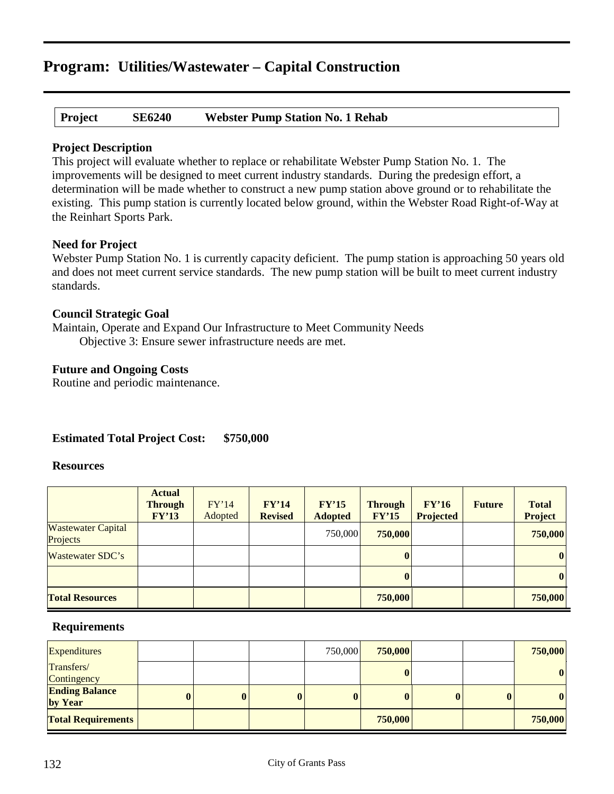**Project SE6240 Webster Pump Station No. 1 Rehab**

### **Project Description**

This project will evaluate whether to replace or rehabilitate Webster Pump Station No. 1. The improvements will be designed to meet current industry standards. During the predesign effort, a determination will be made whether to construct a new pump station above ground or to rehabilitate the existing. This pump station is currently located below ground, within the Webster Road Right-of-Way at the Reinhart Sports Park.

# **Need for Project**

Webster Pump Station No. 1 is currently capacity deficient. The pump station is approaching 50 years old and does not meet current service standards. The new pump station will be built to meet current industry standards.

# **Council Strategic Goal**

Maintain, Operate and Expand Our Infrastructure to Meet Community Needs Objective 3: Ensure sewer infrastructure needs are met.

# **Future and Ongoing Costs**

Routine and periodic maintenance.

# **Estimated Total Project Cost: \$750,000**

#### **Resources**

|                                       | <b>Actual</b><br><b>Through</b><br>FY'13 | FY'14<br>Adopted | FY'14<br><b>Revised</b> | FY'15<br><b>Adopted</b> | <b>Through</b><br>FY'15 | FY'16<br><b>Projected</b> | <b>Future</b> | <b>Total</b><br><b>Project</b> |
|---------------------------------------|------------------------------------------|------------------|-------------------------|-------------------------|-------------------------|---------------------------|---------------|--------------------------------|
| <b>Wastewater Capital</b><br>Projects |                                          |                  |                         | 750,000                 | 750,000                 |                           |               | 750,000                        |
| Wastewater SDC's                      |                                          |                  |                         |                         | $\bf{0}$                |                           |               | $\bf{0}$                       |
|                                       |                                          |                  |                         |                         | $\mathbf{0}$            |                           |               | $\bf{0}$                       |
| <b>Total Resources</b>                |                                          |                  |                         |                         | 750,000                 |                           |               | 750,000                        |

| <b>Expenditures</b>              |          |          |          | 750,000  | 750,000      |   |          | 750,000      |
|----------------------------------|----------|----------|----------|----------|--------------|---|----------|--------------|
| Transfers/<br>Contingency        |          |          |          |          | $\bf{0}$     |   |          | $\mathbf{0}$ |
| <b>Ending Balance</b><br>by Year | $\bf{0}$ | $\bf{0}$ | $\bf{0}$ | $\bf{0}$ | $\mathbf{0}$ | 0 | $\bf{0}$ | $\mathbf{0}$ |
| <b>Total Requirements</b>        |          |          |          |          | 750,000      |   |          | 750,000      |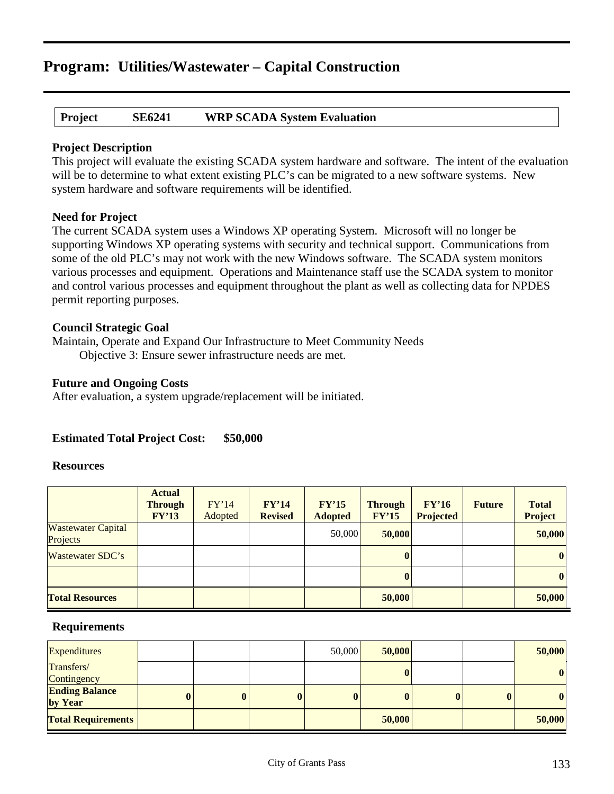# **Project SE6241 WRP SCADA System Evaluation**

### **Project Description**

This project will evaluate the existing SCADA system hardware and software. The intent of the evaluation will be to determine to what extent existing PLC's can be migrated to a new software systems. New system hardware and software requirements will be identified.

# **Need for Project**

The current SCADA system uses a Windows XP operating System. Microsoft will no longer be supporting Windows XP operating systems with security and technical support. Communications from some of the old PLC's may not work with the new Windows software. The SCADA system monitors various processes and equipment. Operations and Maintenance staff use the SCADA system to monitor and control various processes and equipment throughout the plant as well as collecting data for NPDES permit reporting purposes.

# **Council Strategic Goal**

Maintain, Operate and Expand Our Infrastructure to Meet Community Needs Objective 3: Ensure sewer infrastructure needs are met.

# **Future and Ongoing Costs**

After evaluation, a system upgrade/replacement will be initiated.

# **Estimated Total Project Cost: \$50,000**

### **Resources**

|                                       | <b>Actual</b><br><b>Through</b><br>FY'13 | FY'14<br>Adopted | FY'14<br><b>Revised</b> | FY'15<br><b>Adopted</b> | <b>Through</b><br>FY'15 | FY'16<br><b>Projected</b> | <b>Future</b> | <b>Total</b><br><b>Project</b> |
|---------------------------------------|------------------------------------------|------------------|-------------------------|-------------------------|-------------------------|---------------------------|---------------|--------------------------------|
| <b>Wastewater Capital</b><br>Projects |                                          |                  |                         | 50,000                  | 50,000                  |                           |               | 50,000                         |
| Wastewater SDC's                      |                                          |                  |                         |                         |                         |                           |               | $\boldsymbol{0}$               |
|                                       |                                          |                  |                         |                         |                         |                           |               | $\vert \bm{0} \vert$           |
| <b>Total Resources</b>                |                                          |                  |                         |                         | 50,000                  |                           |               | 50,000                         |

| <b>Expenditures</b>              |          |          |          | 50,000   | 50,000 |          | 50,000 |
|----------------------------------|----------|----------|----------|----------|--------|----------|--------|
| Transfers/<br>Contingency        |          |          |          |          |        |          | 0      |
| <b>Ending Balance</b><br>by Year | $\bf{0}$ | $\bf{0}$ | $\bf{0}$ | $\bf{0}$ |        | $\bf{0}$ | 0      |
| <b>Total Requirements</b>        |          |          |          |          | 50,000 |          | 50,000 |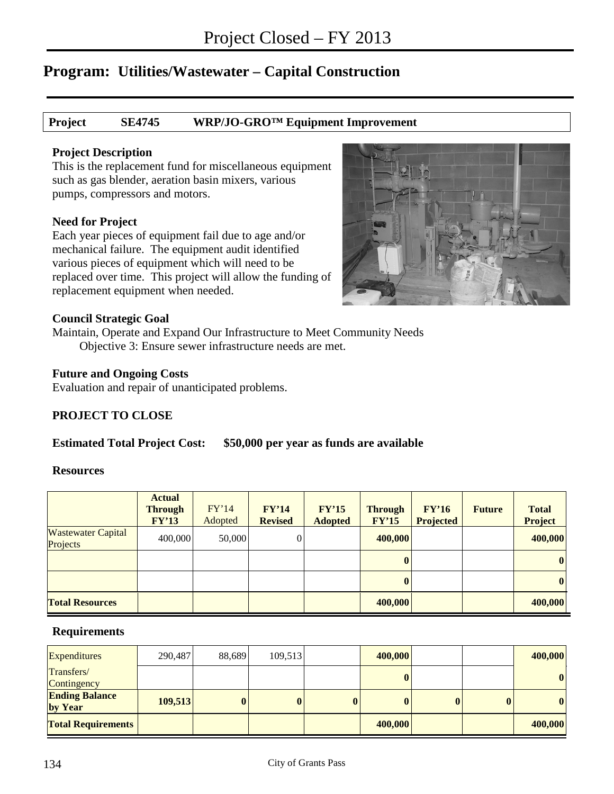### **Project SE4745 WRP/JO-GRO™ Equipment Improvement**

#### **Project Description**

This is the replacement fund for miscellaneous equipment such as gas blender, aeration basin mixers, various pumps, compressors and motors.

### **Need for Project**

Each year pieces of equipment fail due to age and/or mechanical failure. The equipment audit identified various pieces of equipment which will need to be replaced over time. This project will allow the funding of replacement equipment when needed.



#### **Council Strategic Goal**

Maintain, Operate and Expand Our Infrastructure to Meet Community Needs Objective 3: Ensure sewer infrastructure needs are met.

### **Future and Ongoing Costs**

Evaluation and repair of unanticipated problems.

### **PROJECT TO CLOSE**

### **Estimated Total Project Cost: \$50,000 per year as funds are available**

#### **Resources**

|                                       | <b>Actual</b><br><b>Through</b><br>FY'13 | FY'14<br>Adopted | FY'14<br><b>Revised</b> | FY'15<br><b>Adopted</b> | <b>Through</b><br>FY'15 | FY'16<br><b>Projected</b> | <b>Future</b> | <b>Total</b><br><b>Project</b> |
|---------------------------------------|------------------------------------------|------------------|-------------------------|-------------------------|-------------------------|---------------------------|---------------|--------------------------------|
| <b>Wastewater Capital</b><br>Projects | 400,000                                  | 50,000           | $\overline{0}$          |                         | 400,000                 |                           |               | 400,000                        |
|                                       |                                          |                  |                         |                         |                         |                           |               | $\boldsymbol{0}$               |
|                                       |                                          |                  |                         |                         |                         |                           |               | $\boldsymbol{0}$               |
| <b>Total Resources</b>                |                                          |                  |                         |                         | 400,000                 |                           |               | 400,000                        |

| <b>Expenditures</b>              | 290,487 | 88,689   | 109,513  |              | 400,000      |              | 400,000          |
|----------------------------------|---------|----------|----------|--------------|--------------|--------------|------------------|
| Transfers/<br>Contingency        |         |          |          |              | $\mathbf{0}$ |              | $\bf{0}$         |
| <b>Ending Balance</b><br>by Year | 109,513 | $\bf{0}$ | $\bf{0}$ | $\mathbf{0}$ | $\mathbf{0}$ | $\mathbf{0}$ | $\boldsymbol{0}$ |
| <b>Total Requirements</b>        |         |          |          |              | 400,000      |              | 400,000          |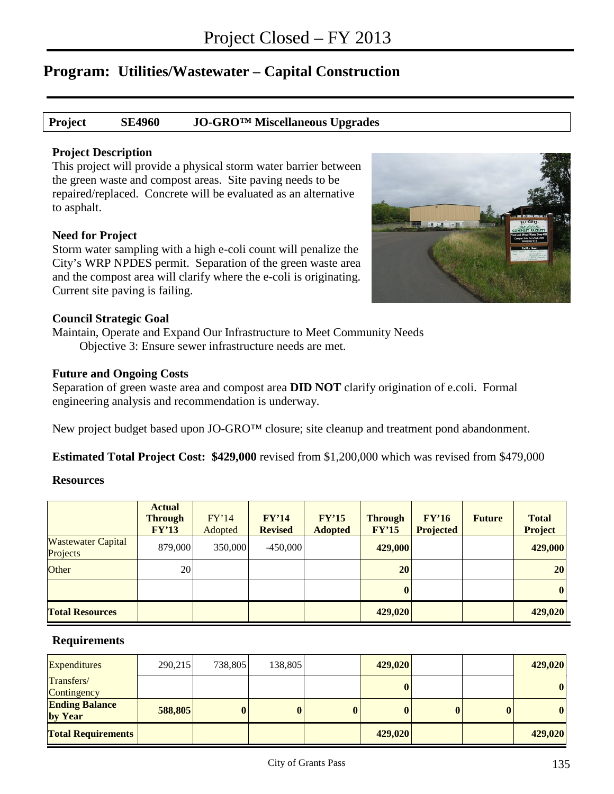### **Project SE4960 JO-GRO™ Miscellaneous Upgrades**

#### **Project Description**

This project will provide a physical storm water barrier between the green waste and compost areas. Site paving needs to be repaired/replaced. Concrete will be evaluated as an alternative to asphalt.

#### **Need for Project**

Storm water sampling with a high e-coli count will penalize the City's WRP NPDES permit. Separation of the green waste area and the compost area will clarify where the e-coli is originating. Current site paving is failing.



#### **Council Strategic Goal**

Maintain, Operate and Expand Our Infrastructure to Meet Community Needs Objective 3: Ensure sewer infrastructure needs are met.

#### **Future and Ongoing Costs**

Separation of green waste area and compost area **DID NOT** clarify origination of e.coli. Formal engineering analysis and recommendation is underway.

New project budget based upon JO-GRO™ closure; site cleanup and treatment pond abandonment.

**Estimated Total Project Cost: \$429,000** revised from \$1,200,000 which was revised from \$479,000

#### **Resources**

|                                       | <b>Actual</b><br><b>Through</b><br>FY'13 | FY'14<br>Adopted | FY'14<br><b>Revised</b> | FY'15<br><b>Adopted</b> | <b>Through</b><br>FY'15 | FY'16<br><b>Projected</b> | <b>Future</b> | <b>Total</b><br><b>Project</b> |
|---------------------------------------|------------------------------------------|------------------|-------------------------|-------------------------|-------------------------|---------------------------|---------------|--------------------------------|
| <b>Wastewater Capital</b><br>Projects | 879,000                                  | 350,000          | $-450,000$              |                         | 429,000                 |                           |               | 429,000                        |
| <b>Other</b>                          | 20                                       |                  |                         |                         | 20                      |                           |               | 20                             |
|                                       |                                          |                  |                         |                         | $\bf{0}$                |                           |               | $\bf{0}$                       |
| <b>Total Resources</b>                |                                          |                  |                         |                         | 429,020                 |                           |               | 429,020                        |

| <b>Expenditures</b>              | 290,215 | 738,805  | 138,805 | 429,020 |  | 429,020 |
|----------------------------------|---------|----------|---------|---------|--|---------|
| Transfers/<br>Contingency        |         |          |         |         |  | 0       |
| <b>Ending Balance</b><br>by Year | 588,805 | $\bf{0}$ | 0       |         |  |         |
| <b>Total Requirements</b>        |         |          |         | 429,020 |  | 429,020 |